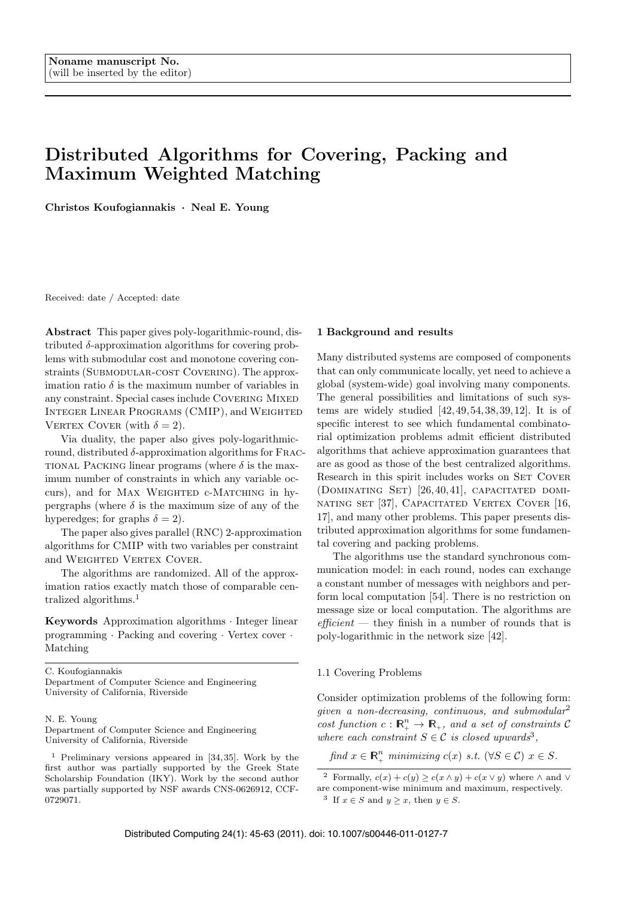# Distributed Algorithms for Covering, Packing and Maximum Weighted Matching

Christos Koufogiannakis *·* Neal E. Young

Received: date / Accepted: date

Abstract This paper gives poly-logarithmic-round, distributed  $\delta$ -approximation algorithms for covering problems with submodular cost and monotone covering constraints (SUBMODULAR-COST COVERING). The approximation ratio  $\delta$  is the maximum number of variables in any constraint. Special cases include COVERING MIXED Integer Linear Programs (CMIP), and Weighted VERTEX COVER (with  $\delta = 2$ ).

Via duality, the paper also gives poly-logarithmicround, distributed  $\delta$ -approximation algorithms for FRAC-TIONAL PACKING linear programs (where  $\delta$  is the maximum number of constraints in which any variable occurs), and for MAX WEIGHTED c-MATCHING in hypergraphs (where  $\delta$  is the maximum size of any of the hyperedges; for graphs  $\delta = 2$ ).

The paper also gives parallel (RNC) 2-approximation algorithms for CMIP with two variables per constraint and WEIGHTED VERTEX COVER.

The algorithms are randomized. All of the approximation ratios exactly match those of comparable centralized algorithms.<sup>1</sup>

Keywords Approximation algorithms *·* Integer linear programming *·* Packing and covering *·* Vertex cover *·* Matching

C. Koufogiannakis

Department of Computer Science and Engineering University of California, Riverside

#### N. E. Young

Department of Computer Science and Engineering University of California, Riverside

#### <sup>1</sup> Preliminary versions appeared in [34,35]. Work by the first author was partially supported by the Greek State Scholarship Foundation (IKY). Work by the second author was partially supported by NSF awards CNS-0626912, CCF-0729071.

#### 1 Background and results

Many distributed systems are composed of components that can only communicate locally, yet need to achieve a global (system-wide) goal involving many components. The general possibilities and limitations of such systems are widely studied  $[42, 49, 54, 38, 39, 12]$ . It is of specific interest to see which fundamental combinatorial optimization problems admit efficient distributed algorithms that achieve approximation guarantees that are as good as those of the best centralized algorithms. Research in this spirit includes works on SET COVER  $(DOMINATING SET) [26, 40, 41]$ , CAPACITATED DOMInating set [37], Capacitated Vertex Cover [16, 17], and many other problems. This paper presents distributed approximation algorithms for some fundamental covering and packing problems.

The algorithms use the standard synchronous communication model: in each round, nodes can exchange a constant number of messages with neighbors and perform local computation [54]. There is no restriction on message size or local computation. The algorithms are *ecient* — they finish in a number of rounds that is poly-logarithmic in the network size [42].

1.1 Covering Problems

Consider optimization problems of the following form: *given a non-decreasing, continuous, and submodular*<sup>2</sup> *cost function*  $c: \mathbb{R}^n_+ \to \mathbb{R}_+$ *, and a set of constraints* C *where each constraint*  $S \in \mathcal{C}$  *is closed upwards*<sup>3</sup>,

*find*  $x \in \mathbb{R}_+^n$  *minimizing*  $c(x)$  *s.t.* ( $\forall S \in \mathcal{C}$ )  $x \in S$ *.* 

<sup>&</sup>lt;sup>2</sup> Formally,  $c(x) + c(y) \ge c(x \wedge y) + c(x \vee y)$  where  $\wedge$  and  $\vee$ are component-wise minimum and maximum, respectively. <sup>3</sup> If  $x \in S$  and  $y \ge x$ , then  $y \in S$ .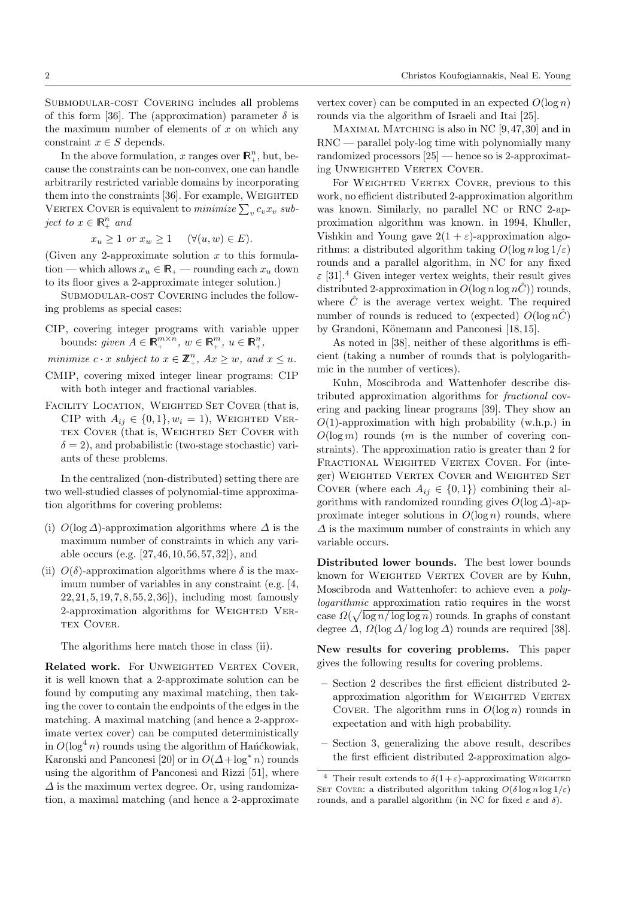Submodular-cost Covering includes all problems of this form [36]. The (approximation) parameter  $\delta$  is the maximum number of elements of *x* on which any constraint  $x \in S$  depends.

In the above formulation, *x* ranges over  $\mathbb{R}^n_+$ , but, because the constraints can be non-convex, one can handle arbitrarily restricted variable domains by incorporating them into the constraints  $[36]$ . For example, WEIGHTED VERTEX COVER is equivalent to  $\textit{minimize} \sum_{v} c_v x_v \textit{ sub-}$ *ject to*  $x \in \mathbb{R}_+^n$  *and* 

 $x_u \geq 1$  *or*  $x_w \geq 1$  ( $\forall (u, w) \in E$ ).

(Given any 2-approximate solution *x* to this formulation — which allows  $x_u \in \mathbb{R}_+$  — rounding each  $x_u$  down to its floor gives a 2-approximate integer solution.)

SUBMODULAR-COST COVERING includes the following problems as special cases:

CIP, covering integer programs with variable upper bounds: *given*  $A \in \mathbb{R}_{+}^{m \times n}$ ,  $w \in \mathbb{R}_{+}^{m}$ ,  $u \in \mathbb{R}_{+}^{n}$ ,

*minimize*  $c \cdot x$  *subject to*  $x \in \mathbb{Z}_+^n$ *,*  $Ax \geq w$ *,* and  $x \leq u$ *.* 

- CMIP, covering mixed integer linear programs: CIP with both integer and fractional variables.
- FACILITY LOCATION, WEIGHTED SET COVER (that is, CIP with  $A_{ij} \in \{0,1\}$ ,  $w_i = 1$ ), WEIGHTED VERtex Cover (that is, Weighted Set Cover with  $\delta = 2$ ), and probabilistic (two-stage stochastic) variants of these problems.

In the centralized (non-distributed) setting there are two well-studied classes of polynomial-time approximation algorithms for covering problems:

- (i)  $O(\log \Delta)$ -approximation algorithms where  $\Delta$  is the maximum number of constraints in which any variable occurs (e.g. [27, 46, 10, 56, 57, 32]), and
- (ii)  $O(\delta)$ -approximation algorithms where  $\delta$  is the maximum number of variables in any constraint (e.g. [4, 22, 21, 5, 19, 7, 8, 55, 2, 36]), including most famously 2-approximation algorithms for WEIGHTED VER-TEX COVER.

The algorithms here match those in class (ii).

Related work. For UNWEIGHTED VERTEX COVER, it is well known that a 2-approximate solution can be found by computing any maximal matching, then taking the cover to contain the endpoints of the edges in the matching. A maximal matching (and hence a 2-approximate vertex cover) can be computed deterministically  $\sin O(\log^4 n)$  rounds using the algorithm of Hańćkowiak, Karonski and Panconesi [20] or in  $O(\Delta + \log^* n)$  rounds using the algorithm of Panconesi and Rizzi [51], where  $\Delta$  is the maximum vertex degree. Or, using randomization, a maximal matching (and hence a 2-approximate

vertex cover) can be computed in an expected  $O(\log n)$ rounds via the algorithm of Israeli and Itai [25].

MAXIMAL MATCHING is also in NC [9,47,30] and in RNC — parallel poly-log time with polynomially many randomized processors [25] — hence so is 2-approximating UNWEIGHTED VERTEX COVER.

For WEIGHTED VERTEX COVER, previous to this work, no efficient distributed 2-approximation algorithm was known. Similarly, no parallel NC or RNC 2-approximation algorithm was known. in 1994, Khuller, Vishkin and Young gave  $2(1 + \varepsilon)$ -approximation algorithms: a distributed algorithm taking  $O(\log n \log 1/\varepsilon)$ rounds and a parallel algorithm, in NC for any fixed  $\varepsilon$  [31].<sup>4</sup> Given integer vertex weights, their result gives distributed 2-approximation in  $O(\log n \log n\hat{C})$  rounds, where  $\hat{C}$  is the average vertex weight. The required number of rounds is reduced to (expected)  $O(\log n\tilde{C})$ by Grandoni, Könemann and Panconesi [18,15].

As noted in  $[38]$ , neither of these algorithms is efficient (taking a number of rounds that is polylogarithmic in the number of vertices).

Kuhn, Moscibroda and Wattenhofer describe distributed approximation algorithms for *fractional* covering and packing linear programs [39]. They show an *O*(1)-approximation with high probability (w.h.p.) in  $O(\log m)$  rounds (*m* is the number of covering constraints). The approximation ratio is greater than 2 for FRACTIONAL WEIGHTED VERTEX COVER. For (integer) WEIGHTED VERTEX COVER and WEIGHTED SET COVER (where each  $A_{ij} \in \{0,1\}$ ) combining their algorithms with randomized rounding gives  $O(\log \Delta)$ -approximate integer solutions in  $O(\log n)$  rounds, where  $\Delta$  is the maximum number of constraints in which any variable occurs.

Distributed lower bounds. The best lower bounds known for WEIGHTED VERTEX COVER are by Kuhn, Moscibroda and Wattenhofer: to achieve even a *polylogarithmic* approximation ratio requires in the worst case  $\Omega(\sqrt{\log n/\log\log n})$  rounds. In graphs of constant degree  $\Delta$ ,  $\Omega(\log \Delta/\log \log \Delta)$  rounds are required [38].

New results for covering problems. This paper gives the following results for covering problems.

- $-$  Section 2 describes the first efficient distributed 2approximation algorithm for WEIGHTED VERTEX COVER. The algorithm runs in  $O(\log n)$  rounds in expectation and with high probability.
- Section 3, generalizing the above result, describes the first efficient distributed 2-approximation algo-

<sup>&</sup>lt;sup>4</sup> Their result extends to  $\delta(1+\varepsilon)$ -approximating WEIGHTED SET COVER: a distributed algorithm taking  $O(\delta \log n \log 1/\varepsilon)$ rounds, and a parallel algorithm (in NC for fixed  $\varepsilon$  and  $\delta$ ).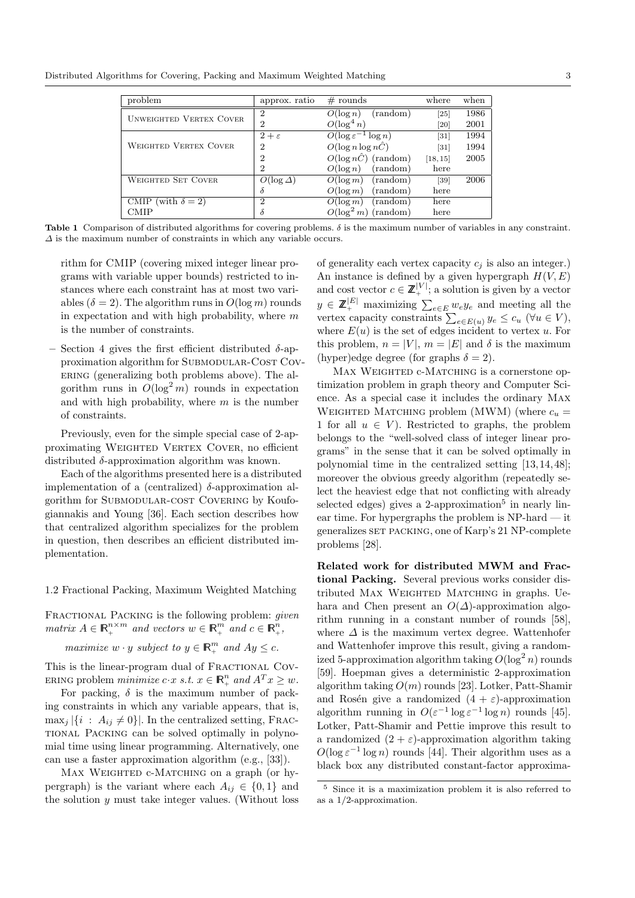Distributed Algorithms for Covering, Packing and Maximum Weighted Matching 3

| problem                        | approx. ratio    | $#$ rounds                        | where              | when |
|--------------------------------|------------------|-----------------------------------|--------------------|------|
| <b>UNWEIGHTED VERTEX COVER</b> | $\mathcal{D}$    | (random)<br>$O(\log n)$           | $\left[ 25\right]$ | 1986 |
|                                | $\overline{2}$   | $O(\log^4 n)$                     | [20]               | 2001 |
|                                | $2+\varepsilon$  | $O(\log \varepsilon^{-1} \log n)$ | $[31]$             | 1994 |
| <b>WEIGHTED VERTEX COVER</b>   | $\overline{2}$   | $O(\log n \log n\hat{C})$         | $\left[31\right]$  | 1994 |
|                                | $\overline{2}$   | $O(\log n\hat{C})$ (random)       | [18, 15]           | 2005 |
|                                | $\overline{2}$   | (random)<br>$O(\log n)$           | here               |      |
| <b>WEIGHTED SET COVER</b>      | $O(\log \Delta)$ | (random)<br>$O(\log m)$           | [39]               | 2006 |
|                                | δ                | $O(\log m)$<br>(random)           | here               |      |
| CMIP (with $\delta = 2$ )      | $\overline{2}$   | (random)<br>$O(\log m)$           | here               |      |
| <b>CMIP</b>                    | δ                | $O(\log^2 m)$<br>(random)         | here               |      |

Table 1 Comparison of distributed algorithms for covering problems.  $\delta$  is the maximum number of variables in any constraint.  $\Delta$  is the maximum number of constraints in which any variable occurs.

rithm for CMIP (covering mixed integer linear programs with variable upper bounds) restricted to instances where each constraint has at most two variables  $(\delta = 2)$ . The algorithm runs in  $O(\log m)$  rounds in expectation and with high probability, where *m* is the number of constraints.

Section 4 gives the first efficient distributed  $\delta$ -approximation algorithm for SUBMODULAR-COST COVering (generalizing both problems above). The algorithm runs in  $O(\log^2 m)$  rounds in expectation and with high probability, where *m* is the number of constraints.

Previously, even for the simple special case of 2-approximating WEIGHTED VERTEX COVER, no efficient distributed  $\delta$ -approximation algorithm was known.

Each of the algorithms presented here is a distributed implementation of a (centralized)  $\delta$ -approximation algorithm for SUBMODULAR-COST COVERING by Koufogiannakis and Young [36]. Each section describes how that centralized algorithm specializes for the problem in question, then describes an efficient distributed implementation.

#### 1.2 Fractional Packing, Maximum Weighted Matching

Fractional Packing is the following problem: *given*  $matrix A \in \mathbb{R}_+^{n \times m}$  and vectors  $w \in \mathbb{R}_+^m$  and  $c \in \mathbb{R}_+^n$ ,

*maximize*  $w \cdot y$  *subject to*  $y \in \mathbb{R}_+^m$  *and*  $Ay \leq c$ .

This is the linear-program dual of FRACTIONAL COV-ERING problem *minimize*  $c \cdot x$  *s.t.*  $x \in \mathbb{R}_+^n$  and  $A^T x \geq w$ .

For packing,  $\delta$  is the maximum number of packing constraints in which any variable appears, that is,  $\max_i |\{i : A_{ij} \neq 0\}|$ . In the centralized setting, FRACtional Packing can be solved optimally in polynomial time using linear programming. Alternatively, one can use a faster approximation algorithm (e.g., [33]).

MAX WEIGHTED c-MATCHING on a graph (or hypergraph) is the variant where each  $A_{ij} \in \{0,1\}$  and the solution *y* must take integer values. (Without loss

of generality each vertex capacity  $c_i$  is also an integer.) An instance is defined by a given hypergraph  $H(V, E)$ and cost vector  $c \in \mathbb{Z}^{|V|}$ , a solution is given by a vector  $y \in \mathbb{Z}_+^{|E|}$  maximizing  $\sum_{e \in E} w_e y_e$  and meeting all the vertex capacity constraints  $\sum_{e \in E(u)} y_e \leq c_u \ (\forall u \in V)$ , where  $E(u)$  is the set of edges incident to vertex  $u$ . For this problem,  $n = |V|$ ,  $m = |E|$  and  $\delta$  is the maximum (hyper)edge degree (for graphs  $\delta = 2$ ).

MAX WEIGHTED  $c$ -MATCHING is a cornerstone optimization problem in graph theory and Computer Science. As a special case it includes the ordinary Max WEIGHTED MATCHING problem (MWM) (where  $c_u =$ 1 for all  $u \in V$ ). Restricted to graphs, the problem belongs to the "well-solved class of integer linear programs" in the sense that it can be solved optimally in polynomial time in the centralized setting [13, 14, 48]; moreover the obvious greedy algorithm (repeatedly select the heaviest edge that not conflicting with already selected edges) gives a 2-approximation<sup>5</sup> in nearly linear time. For hypergraphs the problem is NP-hard — it generalizes set packing, one of Karp's 21 NP-complete problems [28].

Related work for distributed MWM and Fractional Packing. Several previous works consider distributed MAX WEIGHTED MATCHING in graphs. Uehara and Chen present an  $O(\Delta)$ -approximation algorithm running in a constant number of rounds [58], where  $\Delta$  is the maximum vertex degree. Wattenhofer and Wattenhofer improve this result, giving a randomized 5-approximation algorithm taking  $O(\log^2 n)$  rounds [59]. Hoepman gives a deterministic 2-approximation algorithm taking *O*(*m*) rounds [23]. Lotker, Patt-Shamir and Rosén give a randomized  $(4 + \varepsilon)$ -approximation algorithm running in  $O(\varepsilon^{-1} \log \varepsilon^{-1} \log n)$  rounds [45]. Lotker, Patt-Shamir and Pettie improve this result to a randomized  $(2 + \varepsilon)$ -approximation algorithm taking  $O(\log \varepsilon^{-1} \log n)$  rounds [44]. Their algorithm uses as a black box any distributed constant-factor approxima-

<sup>5</sup> Since it is a maximization problem it is also referred to as a 1/2-approximation.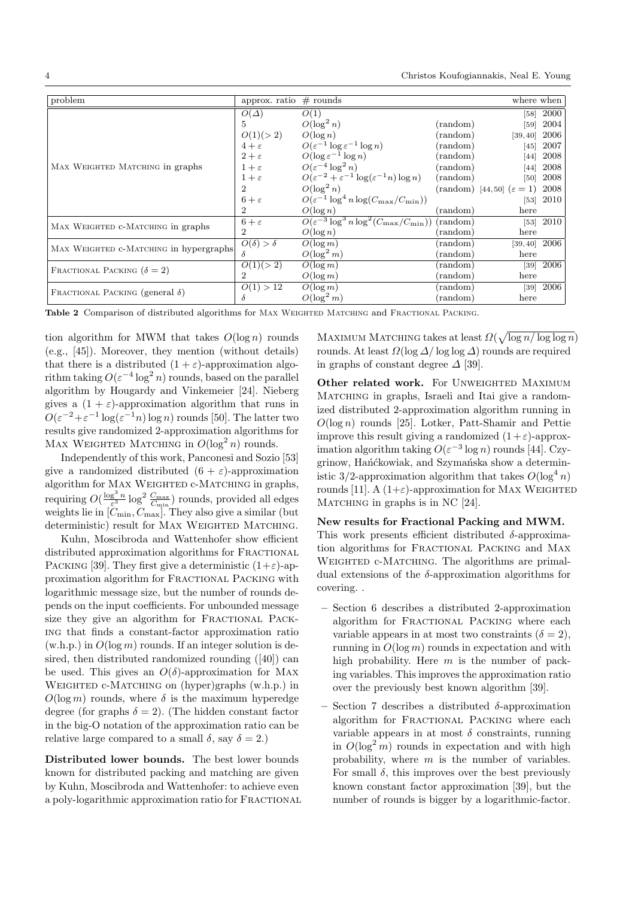| problem                                | approx. ratio                   | $#$ rounds                                                               |                   | where when                           |             |
|----------------------------------------|---------------------------------|--------------------------------------------------------------------------|-------------------|--------------------------------------|-------------|
|                                        | $O(\Delta)$                     | O(1)                                                                     |                   |                                      | [58] 2000   |
|                                        | $5^{\circ}$                     | $O(\log^2 n)$                                                            | (random)          | [59]                                 | 2004        |
|                                        | O(1)(>2)                        | $O(\log n)$                                                              | (random)          | [39, 40]                             | 2006        |
|                                        |                                 | $4 + \varepsilon$ $O(\varepsilon^{-1} \log \varepsilon^{-1} \log n)$     | $(\text{random})$ | [45]                                 | 2007        |
|                                        |                                 | $2 + \varepsilon$ $O(\log \varepsilon^{-1} \log n)$                      | $(\text{random})$ | [44]                                 | 2008        |
| MAX WEIGHTED MATCHING in graphs        | $1+\varepsilon$                 | $O(\varepsilon^{-4} \log^2 n)$                                           | (random)          | [44]                                 | 2008        |
|                                        | $1+\varepsilon$                 | $O(\varepsilon^{-2} + \varepsilon^{-1} \log(\varepsilon^{-1} n) \log n)$ | (random)          | [50]                                 | 2008        |
|                                        | $\overline{2}$                  | $O(\log^2 n)$                                                            |                   | (random) [44,50] $(\varepsilon = 1)$ | 2008        |
|                                        | $6+\varepsilon$                 | $O(\varepsilon^{-1} \log^4 n \log(C_{\max}/C_{\min}))$                   |                   |                                      | $[53]$ 2010 |
|                                        | 2                               | $O(\log n)$                                                              | $(\text{random})$ | here                                 |             |
| MAX WEIGHTED C-MATCHING in graphs      | $6+\varepsilon$                 | $O(\varepsilon^{-3} \log^3 n \log^2(C_{\max}/C_{\min}))$ (random)        |                   |                                      | $[53]$ 2010 |
|                                        | $\overline{2}$                  | $O(\log n)$                                                              | (random)          | here                                 |             |
|                                        | $\overline{O(\delta) > \delta}$ | $O(\log m)$                                                              | (random)          | $[39, 40]$ 2006                      |             |
| MAX WEIGHTED C-MATCHING in hypergraphs | $\delta$                        | $O(\log^2 m)$                                                            | (random)          | here                                 |             |
|                                        | O(1)(>2)                        | $O(\log m)$                                                              | (random)          |                                      | $[39]$ 2006 |
| FRACTIONAL PACKING $(\delta = 2)$      | $\mathcal{D}_{\mathcal{L}}$     | $O(\log m)$                                                              | (random)          | here                                 |             |
| FRACTIONAL PACKING (general $\delta$ ) | O(1) > 12                       | $O(\log m)$                                                              | (random)          |                                      | $[39]$ 2006 |
|                                        | δ                               | $O(\log^2 m)$                                                            | $(\text{random})$ | here                                 |             |

Table 2 Comparison of distributed algorithms for MAX WEIGHTED MATCHING and FRACTIONAL PACKING.

tion algorithm for MWM that takes  $O(\log n)$  rounds (e.g., [45]). Moreover, they mention (without details) that there is a distributed  $(1 + \varepsilon)$ -approximation algorithm taking  $O(\varepsilon^{-4} \log^2 n)$  rounds, based on the parallel algorithm by Hougardy and Vinkemeier [24]. Nieberg gives a  $(1 + \varepsilon)$ -approximation algorithm that runs in  $O(\varepsilon^{-2} + \varepsilon^{-1} \log(\varepsilon^{-1} n) \log n)$  rounds [50]. The latter two results give randomized 2-approximation algorithms for MAX WEIGHTED MATCHING in  $O(\log^2 n)$  rounds.

Independently of this work, Panconesi and Sozio [53] give a randomized distributed  $(6 + \varepsilon)$ -approximation algorithm for  $Max$  WEIGHTED  $c$ -MATCHING in graphs, requiring  $O(\frac{\log^3 n}{\varepsilon^3} \log^2 \frac{C_{\max}}{C_{\min}})$  rounds, provided all edges weights lie in [*C*min*, C*max]. They also give a similar (but deterministic) result for MAX WEIGHTED MATCHING.

Kuhn, Moscibroda and Wattenhofer show efficient distributed approximation algorithms for FRACTIONAL PACKING [39]. They first give a deterministic  $(1+\varepsilon)$ -approximation algorithm for Fractional Packing with logarithmic message size, but the number of rounds depends on the input coefficients. For unbounded message size they give an algorithm for FRACTIONAL PACKing that finds a constant-factor approximation ratio  $(w.h.p.)$  in  $O(log m)$  rounds. If an integer solution is desired, then distributed randomized rounding ([40]) can be used. This gives an  $O(\delta)$ -approximation for MAX WEIGHTED c-MATCHING on (hyper)graphs (w.h.p.) in  $O(\log m)$  rounds, where  $\delta$  is the maximum hyperedge degree (for graphs  $\delta = 2$ ). (The hidden constant factor in the big-O notation of the approximation ratio can be relative large compared to a small  $\delta$ , say  $\delta = 2$ .)

Distributed lower bounds. The best lower bounds known for distributed packing and matching are given by Kuhn, Moscibroda and Wattenhofer: to achieve even a poly-logarithmic approximation ratio for Fractional

MAXIMUM MATCHING takes at least  $\Omega(\sqrt{\log n/\log\log n})$ rounds. At least  $\Omega(\log \Delta/\log \log \Delta)$  rounds are required in graphs of constant degree  $\Delta$  [39].

Other related work. For UNWEIGHTED MAXIMUM MATCHING in graphs, Israeli and Itai give a randomized distributed 2-approximation algorithm running in *O*(log *n*) rounds [25]. Lotker, Patt-Shamir and Pettie improve this result giving a randomized  $(1+\varepsilon)$ -approximation algorithm taking  $O(\varepsilon^{-3} \log n)$  rounds [44]. Czygrinow, Hańćkowiak, and Szymańska show a deterministic 3/2-approximation algorithm that takes  $O(\log^4 n)$ rounds [11]. A  $(1+\varepsilon)$ -approximation for MAX WEIGHTED MATCHING in graphs is in NC [24].

New results for Fractional Packing and MWM.

This work presents efficient distributed  $\delta$ -approximation algorithms for FRACTIONAL PACKING and MAX WEIGHTED c-MATCHING. The algorithms are primaldual extensions of the  $\delta$ -approximation algorithms for covering. .

- Section 6 describes a distributed 2-approximation algorithm for FRACTIONAL PACKING where each variable appears in at most two constraints  $(\delta = 2)$ , running in *O*(log *m*) rounds in expectation and with high probability. Here *m* is the number of packing variables. This improves the approximation ratio over the previously best known algorithm [39].
- Section 7 describes a distributed  $\delta$ -approximation algorithm for FRACTIONAL PACKING where each variable appears in at most  $\delta$  constraints, running in  $O(\log^2 m)$  rounds in expectation and with high probability, where *m* is the number of variables. For small  $\delta$ , this improves over the best previously known constant factor approximation [39], but the number of rounds is bigger by a logarithmic-factor.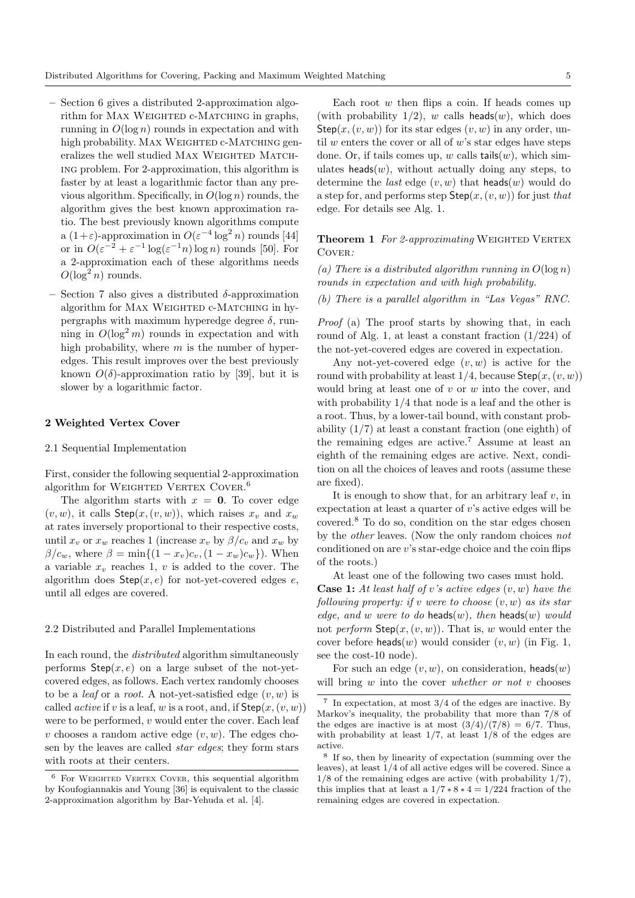- Section 6 gives a distributed 2-approximation algorithm for MAX WEIGHTED c-MATCHING in graphs, running in  $O(\log n)$  rounds in expectation and with high probability. MAX WEIGHTED c-MATCHING generalizes the well studied MAX WEIGHTED MATCHing problem. For 2-approximation, this algorithm is faster by at least a logarithmic factor than any previous algorithm. Specifically, in *O*(log *n*) rounds, the algorithm gives the best known approximation ratio. The best previously known algorithms compute a  $(1+\varepsilon)$ -approximation in  $O(\varepsilon^{-4} \log^2 n)$  rounds [44] or in  $O(\varepsilon^{-2} + \varepsilon^{-1} \log(\varepsilon^{-1} n) \log n)$  rounds [50]. For a 2-approximation each of these algorithms needs  $O(\log^2 n)$  rounds.
- Section 7 also gives a distributed  $\delta$ -approximation algorithm for MAX WEIGHTED c-MATCHING in hypergraphs with maximum hyperedge degree  $\delta$ , running in  $O(\log^2 m)$  rounds in expectation and with high probability, where *m* is the number of hyperedges. This result improves over the best previously known  $O(\delta)$ -approximation ratio by [39], but it is slower by a logarithmic factor.

#### 2 Weighted Vertex Cover

#### 2.1 Sequential Implementation

First, consider the following sequential 2-approximation algorithm for WEIGHTED VERTEX COVER.<sup>6</sup>

The algorithm starts with  $x = 0$ . To cover edge  $(v, w)$ , it calls  $Step(x, (v, w))$ , which raises  $x_v$  and  $x_w$ at rates inversely proportional to their respective costs, until  $x_v$  or  $x_w$  reaches 1 (increase  $x_v$  by  $\beta/c_v$  and  $x_w$  by  $\beta/c_w$ , where  $\beta = \min\{(1 - x_v)c_v, (1 - x_w)c_w\}$ . When a variable  $x<sub>v</sub>$  reaches 1,  $v$  is added to the cover. The algorithm does  $Step(x, e)$  for not-yet-covered edges  $e$ , until all edges are covered.

## 2.2 Distributed and Parallel Implementations

In each round, the *distributed* algorithm simultaneously performs  $Step(x, e)$  on a large subset of the not-yetcovered edges, as follows. Each vertex randomly chooses to be a *leaf* or a *root*. A not-yet-satisfied edge (*v, w*) is called *active* if *v* is a leaf, *w* is a root, and, if  $Step(x, (v, w))$ were to be performed, *v* would enter the cover. Each leaf *v* chooses a random active edge  $(v, w)$ . The edges chosen by the leaves are called *star edges*; they form stars with roots at their centers.

Each root *w* then flips a coin. If heads comes up (with probability  $1/2$ ), *w* calls heads(*w*), which does Step $(x, (v, w))$  for its star edges  $(v, w)$  in any order, until *w* enters the cover or all of *w*'s star edges have steps done. Or, if tails comes up,  $w$  calls tails $(w)$ , which simulates heads $(w)$ , without actually doing any steps, to determine the *last* edge (*v, w*) that heads(*w*) would do a step for, and performs step Step(*x,*(*v, w*)) for just *that* edge. For details see Alg. 1.

**Theorem 1** For 2-approximating WEIGHTED VERTEX Cover*:*

(a) There is a distributed algorithm running in  $O(\log n)$ *rounds in expectation and with high probability.*

*(b) There is a parallel algorithm in "Las Vegas" RNC.*

*Proof* (a) The proof starts by showing that, in each round of Alg. 1, at least a constant fraction (1/224) of the not-yet-covered edges are covered in expectation.

Any not-yet-covered edge (*v, w*) is active for the round with probability at least  $1/4$ , because  $Step(x, (v, w))$ would bring at least one of *v* or *w* into the cover, and with probability 1/4 that node is a leaf and the other is a root. Thus, by a lower-tail bound, with constant probability (1/7) at least a constant fraction (one eighth) of the remaining edges are active.<sup>7</sup> Assume at least an eighth of the remaining edges are active. Next, condition on all the choices of leaves and roots (assume these are fixed).

It is enough to show that, for an arbitrary leaf *v*, in expectation at least a quarter of *v*'s active edges will be covered.<sup>8</sup> To do so, condition on the star edges chosen by the *other* leaves. (Now the only random choices *not* conditioned on are *v*'s star-edge choice and the coin flips of the roots.)

At least one of the following two cases must hold.

Case 1: *At least half of v's active edges* (*v, w*) *have the following property: if v were to choose* (*v, w*) *as its star edge, and w were to do* **heads** $(w)$ *, then* **heads** $(w)$  *would* not *perform* Step(*x,*(*v, w*))*.* That is, *w* would enter the cover before heads(*w*) would consider (*v, w*) (in Fig. 1, see the cost-10 node).

For such an edge  $(v, w)$ , on consideration, heads $(w)$ will bring *w* into the cover *whether or not v* chooses

 $6$  For WEIGHTED VERTEX COVER, this sequential algorithm by Koufogiannakis and Young [36] is equivalent to the classic 2-approximation algorithm by Bar-Yehuda et al. [4].

<sup>7</sup> In expectation, at most 3/4 of the edges are inactive. By Markov's inequality, the probability that more than 7/8 of the edges are inactive is at most  $\frac{3}{4}/\frac{7}{8} = \frac{6}{7}$ . Thus, with probability at least 1/7, at least 1/8 of the edges are active.

<sup>8</sup> If so, then by linearity of expectation (summing over the leaves), at least 1/4 of all active edges will be covered. Since a 1/8 of the remaining edges are active (with probability 1/7), this implies that at least a  $1/7 * 8 * 4 = 1/224$  fraction of the remaining edges are covered in expectation.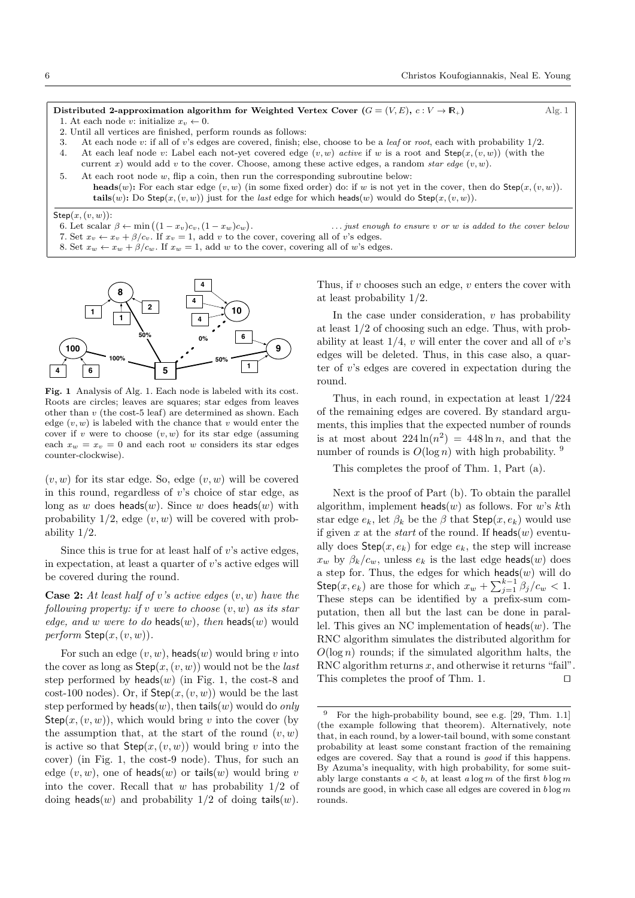Distributed 2-approximation algorithm for Weighted Vertex Cover  $(G = (V, E), c : V \to \mathbb{R}_+)$  Alg. 1 1. At each node *v*: initialize  $x_v \leftarrow 0$ .

- 2. Until all vertices are finished, perform rounds as follows:
- 3. At each node *v*: if all of *v*'s edges are covered, finish; else, choose to be a *leaf* or *root*, each with probability 1/2.
- 4. At each leaf node *v*: Label each not-yet covered edge (*v, w*) *active* if *w* is a root and Step(*x,* (*v, w*)) (with the
- current *x*) would add *v* to the cover. Choose, among these active edges, a random *star edge*  $(v, w)$ .
- 5. At each root node *w*, flip a coin, then run the corresponding subroutine below: heads(*w*): For each star edge  $(v, w)$  (in some fixed order) do: if *w* is not yet in the cover, then do Step( $x, (v, w)$ ). tails(*w*): Do Step(*x*, (*v*, *w*)) just for the *last* edge for which heads(*w*) would do Step(*x*, (*v*, *w*)).

#### Step(*x,* (*v, w*)):

- 6. Let scalar  $\beta \leftarrow \min\left( (1 x_v)c_v, (1 x_w)c_w \right)$
- 7. Set  $x_v \leftarrow x_v + \beta/c_v$ . If  $x_v = 1$ , add *v* to the cover, covering all of *v*'s edges.
- 8. Set  $x_w \leftarrow x_w + \beta/c_w$ . If  $x_w = 1$ , add *w* to the cover, covering all of *w*'s edges.



Fig. 1 Analysis of Alg. 1. Each node is labeled with its cost. Roots are circles; leaves are squares; star edges from leaves other than *v* (the cost-5 leaf) are determined as shown. Each edge  $(v, w)$  is labeled with the chance that *v* would enter the cover if *v* were to choose  $(v, w)$  for its star edge (assuming each  $x_w = x_v = 0$  and each root *w* considers its star edges counter-clockwise).

 $(v, w)$  for its star edge. So, edge  $(v, w)$  will be covered in this round, regardless of *v*'s choice of star edge, as long as *w* does heads(*w*). Since *w* does heads(*w*) with probability 1/2, edge (*v, w*) will be covered with probability 1/2.

Since this is true for at least half of *v*'s active edges, in expectation, at least a quarter of *v*'s active edges will be covered during the round.

Case 2: *At least half of v's active edges* (*v, w*) *have the following property: if v were to choose* (*v, w*) *as its star edge, and w were to do* **heads** $(w)$ *, then* **heads** $(w)$  would  $perform$   $Step(x, (v, w))$ *.* 

For such an edge  $(v, w)$ , heads $(w)$  would bring  $v$  into the cover as long as Step(*x,*(*v, w*)) would not be the *last* step performed by  $heads(w)$  (in Fig. 1, the cost-8 and cost-100 nodes). Or, if  $Step(x, (v, w))$  would be the last step performed by heads(*w*), then tails(*w*) would do *only* Step $(x, (v, w))$ , which would bring *v* into the cover (by the assumption that, at the start of the round  $(v, w)$ is active so that  $Step(x, (v, w))$  would bring *v* into the cover) (in Fig. 1, the cost-9 node). Thus, for such an edge  $(v, w)$ , one of heads $(w)$  or tails $(w)$  would bring *v* into the cover. Recall that *w* has probability 1/2 of doing heads(*w*) and probability  $1/2$  of doing tails(*w*).

Thus, if *v* chooses such an edge, *v* enters the cover with at least probability 1/2.

. *... just enough to ensure v or w is added to the cover below*

In the case under consideration, *v* has probability at least 1/2 of choosing such an edge. Thus, with probability at least 1/4, *v* will enter the cover and all of *v*'s edges will be deleted. Thus, in this case also, a quarter of *v*'s edges are covered in expectation during the round.

Thus, in each round, in expectation at least 1/224 of the remaining edges are covered. By standard arguments, this implies that the expected number of rounds is at most about  $224 \ln(n^2) = 448 \ln n$ , and that the number of rounds is  $O(\log n)$  with high probability. <sup>9</sup>

This completes the proof of Thm. 1, Part (a).

Next is the proof of Part (b). To obtain the parallel algorithm, implement heads(*w*) as follows. For *w*'s *k*th star edge  $e_k$ , let  $\beta_k$  be the  $\beta$  that  $Step(x, e_k)$  would use if given *x* at the *start* of the round. If heads(*w*) eventually does  $Step(x, e_k)$  for edge  $e_k$ , the step will increase  $x_w$  by  $\beta_k/c_w$ , unless  $e_k$  is the last edge heads(*w*) does a step for. Thus, the edges for which  $heads(w)$  will do Step $(x, e_k)$  are those for which  $x_w + \sum_{j=1}^{k-1} \beta_j / c_w < 1$ . These steps can be identified by a prefix-sum computation, then all but the last can be done in parallel. This gives an NC implementation of heads(*w*). The RNC algorithm simulates the distributed algorithm for  $O(\log n)$  rounds; if the simulated algorithm halts, the RNC algorithm returns *x*, and otherwise it returns "fail". This completes the proof of Thm. 1.  $\Box$ 

<sup>9</sup> For the high-probability bound, see e.g. [29, Thm. 1.1] (the example following that theorem). Alternatively, note that, in each round, by a lower-tail bound, with some constant probability at least some constant fraction of the remaining edges are covered. Say that a round is *good* if this happens. By Azuma's inequality, with high probability, for some suitably large constants  $a < b$ , at least  $a \log m$  of the first  $b \log m$ rounds are good, in which case all edges are covered in *b* log *m* rounds.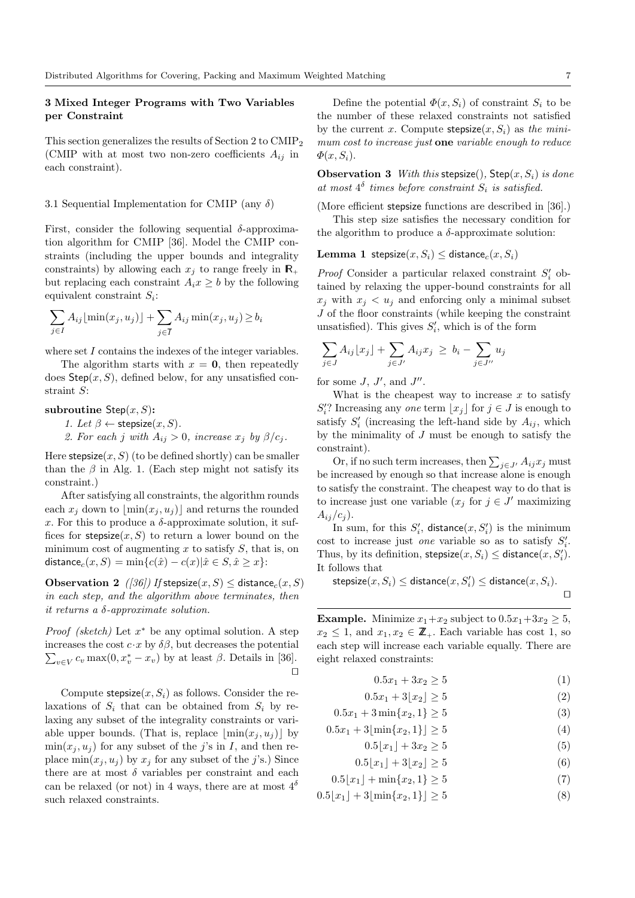# 3 Mixed Integer Programs with Two Variables per Constraint

This section generalizes the results of Section 2 to CMIP<sup>2</sup> (CMIP with at most two non-zero coefficients  $A_{ij}$  in each constraint).

# 3.1 Sequential Implementation for CMIP (any  $\delta$ )

First, consider the following sequential  $\delta$ -approximation algorithm for CMIP [36]. Model the CMIP constraints (including the upper bounds and integrality constraints) by allowing each  $x_j$  to range freely in  $\mathbb{R}_+$ but replacing each constraint  $A_i x \geq b$  by the following equivalent constraint *Si*:

$$
\sum_{j \in I} A_{ij} \lfloor \min(x_j, u_j) \rfloor + \sum_{j \in \overline{I}} A_{ij} \min(x_j, u_j) \ge b_i
$$

where set *I* contains the indexes of the integer variables.

The algorithm starts with  $x = 0$ , then repeatedly does  $Step(x, S)$ , defined below, for any unsatisfied constraint *S*:

subroutine Step(*x, S*):

*1. Let*  $\beta \leftarrow$  stepsize $(x, S)$ *.* 

2. For each *j* with  $A_{ij} > 0$ , increase  $x_j$  by  $\beta/c_j$ .

Here  $stepsize(x, S)$  (to be defined shortly) can be smaller than the  $\beta$  in Alg. 1. (Each step might not satisfy its constraint.)

After satisfying all constraints, the algorithm rounds each  $x_j$  down to  $|\min(x_j, u_j)|$  and returns the rounded x. For this to produce a  $\delta$ -approximate solution, it suffices for  $stepsize(x, S)$  to return a lower bound on the minimum cost of augmenting *x* to satisfy *S*, that is, on distance<sub>*c*</sub>(*x*, *S*) =  $\min\{c(\hat{x}) - c(x) | \hat{x} \in S, \hat{x} \geq x\}$ :

**Observation 2** *([36])* If stepsize $(x, S)$  < distance<sub>c</sub> $(x, S)$ *in each step, and the algorithm above terminates, then it returns a -approximate solution.*

*Proof* (sketch) Let  $x^*$  be any optimal solution. A step increases the cost  $c \cdot x$  by  $\delta\beta$ , but decreases the potential  $\sum_{v \in V} c_v \max(0, x_v^* - x_v)$  by at least  $\beta$ . Details in [36].  $\Box$ 

Compute stepsize $(x, S_i)$  as follows. Consider the relaxations of  $S_i$  that can be obtained from  $S_i$  by relaxing any subset of the integrality constraints or variable upper bounds. (That is, replace  $|\min(x_i, u_i)|$  by  $\min(x_i, u_i)$  for any subset of the *j*'s in *I*, and then replace  $min(x_i, u_i)$  by  $x_i$  for any subset of the *j*'s.) Since there are at most  $\delta$  variables per constraint and each can be relaxed (or not) in 4 ways, there are at most  $4^{\delta}$ such relaxed constraints.

Define the potential  $\Phi(x, S_i)$  of constraint  $S_i$  to be the number of these relaxed constraints not satisfied by the current *x*. Compute  $stepsize(x, S_i)$  as *the minimum cost to increase just* one *variable enough to reduce*  $\Phi(x, S_i)$ .

Observation 3 *With this* stepsize()*,* Step(*x, Si*) *is done* at most  $4^{\delta}$  times before constraint  $S_i$  is satisfied.

(More efficient stepsize functions are described in  $[36]$ .)

This step size satisfies the necessary condition for the algorithm to produce a  $\delta$ -approximate solution:

**Lemma 1** stepsize $(x, S_i) \leq$  distance<sub>c</sub> $(x, S_i)$ 

*Proof* Consider a particular relaxed constraint  $S_i'$  obtained by relaxing the upper-bound constraints for all  $x_i$  with  $x_i < u_j$  and enforcing only a minimal subset *J* of the floor constraints (while keeping the constraint unsatisfied). This gives  $S_i'$ , which is of the form

$$
\sum_{j \in J} A_{ij} \lfloor x_j \rfloor + \sum_{j \in J'} A_{ij} x_j \ge b_i - \sum_{j \in J''} u_j
$$

for some  $J, J',$  and  $J''$ .

What is the cheapest way to increase *x* to satisfy  $S_i$ ? Increasing any *one* term  $\lfloor x_j \rfloor$  for  $j \in J$  is enough to satisfy  $S_i'$  (increasing the left-hand side by  $A_{ij}$ , which by the minimality of *J* must be enough to satisfy the constraint).

Or, if no such term increases, then  $\sum_{j \in J'} A_{ij} x_j$  must be increased by enough so that increase alone is enough to satisfy the constraint. The cheapest way to do that is to increase just one variable  $(x_j \text{ for } j \in J' \text{ maximizing})$  $A_{ij}/c_j$ .

In sum, for this  $S_i'$ , distance $(x, S_i')$  is the minimum cost to increase just *one* variable so as to satisfy  $S_i'$ . Thus, by its definition,  $\text{stepsize}(x, S_i) \leq \text{distance}(x, S'_i)$ . It follows that

$$
\mathsf{stepsize}(x, S_i) \leq \mathsf{distance}(x, S'_i) \leq \mathsf{distance}(x, S_i).
$$

**Example.** Minimize  $x_1+x_2$  subject to  $0.5x_1+3x_2 \geq 5$ ,  $x_2 \leq 1$ , and  $x_1, x_2 \in \mathbb{Z}_+$ . Each variable has cost 1, so each step will increase each variable equally. There are eight relaxed constraints:

 $0.5x_1 + 3x_2 \ge 5$  (1)

 $0.5x_1 + 3|x_2| > 5$  (2)

 $0.5x_1 + 3\min\{x_2, 1\} \ge 5$  (3)

$$
0.5x_1 + 3\lfloor \min\{x_2, 1\} \rfloor \ge 5
$$
 (4)

- $0.5|x_1| + 3x_2 > 5$  (5)
- $0.5|x_1| + 3|x_2| \ge 5$  (6)
- $0.5|x_1| + \min\{x_2, 1\} \ge 5$  (7)

$$
0.5\lfloor x_1 \rfloor + 3\lfloor \min\{x_2, 1\} \rfloor \ge 5
$$
 (8)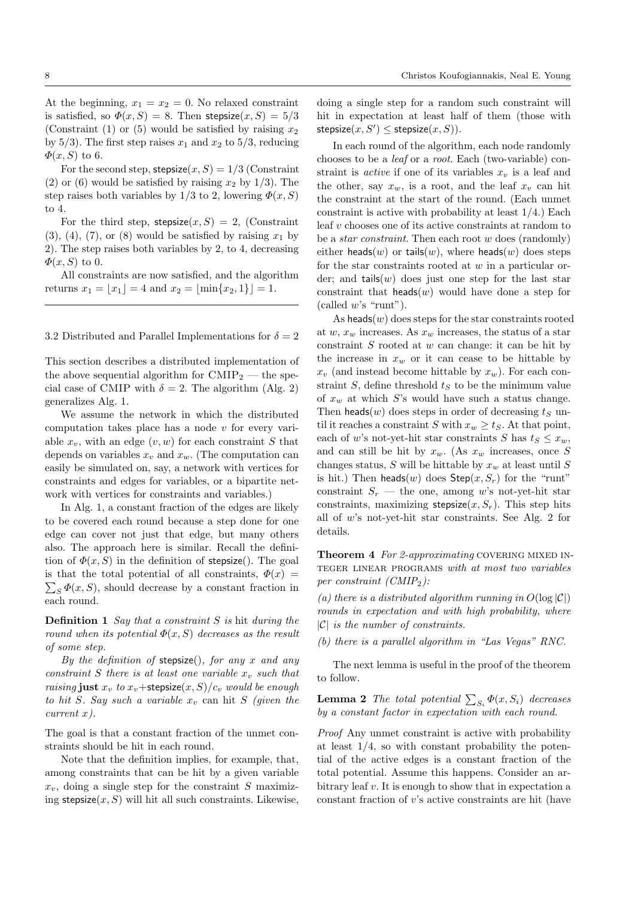At the beginning,  $x_1 = x_2 = 0$ . No relaxed constraint is satisfied, so  $\Phi(x, S) = 8$ . Then stepsize $(x, S) = 5/3$ (Constraint (1) or (5) would be satisfied by raising  $x_2$ by  $5/3$ ). The first step raises  $x_1$  and  $x_2$  to  $5/3$ , reducing  $\Phi(x, S)$  to 6.

For the second step, stepsize $(x, S) = 1/3$  (Constraint (2) or (6) would be satisfied by raising  $x_2$  by 1/3). The step raises both variables by  $1/3$  to 2, lowering  $\Phi(x, S)$ to 4.

For the third step, stepsize $(x, S) = 2$ , (Constraint  $(3)$ ,  $(4)$ ,  $(7)$ , or  $(8)$  would be satisfied by raising  $x<sub>1</sub>$  by 2). The step raises both variables by 2, to 4, decreasing  $\Phi(x, S)$  to 0.

All constraints are now satisfied, and the algorithm returns  $x_1 = |x_1| = 4$  and  $x_2 = |\min\{x_2, 1\}| = 1$ .

3.2 Distributed and Parallel Implementations for  $\delta = 2$ 

This section describes a distributed implementation of the above sequential algorithm for  $\text{CMIP}_2$  — the special case of CMIP with  $\delta = 2$ . The algorithm (Alg. 2) generalizes Alg. 1.

We assume the network in which the distributed computation takes place has a node *v* for every variable  $x<sub>v</sub>$ , with an edge  $(v, w)$  for each constraint *S* that depends on variables  $x_v$  and  $x_w$ . (The computation can easily be simulated on, say, a network with vertices for constraints and edges for variables, or a bipartite network with vertices for constraints and variables.)

In Alg. 1, a constant fraction of the edges are likely to be covered each round because a step done for one edge can cover not just that edge, but many others also. The approach here is similar. Recall the definition of  $\Phi(x, S)$  in the definition of **stepsize**(). The goal is that the total potential of all constraints,  $\Phi(x)$  =  $\sum_{S} \Phi(x, S)$ , should decrease by a constant fraction in each round.

Definition 1 *Say that a constraint S is* hit *during the round when its potential*  $\Phi(x, S)$  *decreases as the result of some step.*

*By the definition of* stepsize()*, for any x and any constraint S there is at least one variable*  $x_v$  *such that raising* just  $x_v$  *to*  $x_v$ +stepsize $(x, S)/c_v$  *would be enough to hit S. Say such a variable x<sup>v</sup>* can hit *S (given the current x).*

The goal is that a constant fraction of the unmet constraints should be hit in each round.

Note that the definition implies, for example, that, among constraints that can be hit by a given variable  $x_v$ , doing a single step for the constraint *S* maximizing  $stepsize(x, S)$  will hit all such constraints. Likewise,

doing a single step for a random such constraint will hit in expectation at least half of them (those with  $\mathsf{stepsize}(x, S') \leq \mathsf{stepsize}(x, S)$ ).

In each round of the algorithm, each node randomly chooses to be a *leaf* or a *root*. Each (two-variable) constraint is *active* if one of its variables  $x<sub>v</sub>$  is a leaf and the other, say  $x_w$ , is a root, and the leaf  $x_v$  can hit the constraint at the start of the round. (Each unmet constraint is active with probability at least 1/4.) Each leaf *v* chooses one of its active constraints at random to be a *star constraint*. Then each root *w* does (randomly) either heads(*w*) or tails(*w*), where heads(*w*) does steps for the star constraints rooted at *w* in a particular order; and  $\text{tails}(w)$  does just one step for the last star constraint that heads $(w)$  would have done a step for (called *w*'s "runt").

As heads(*w*) does steps for the star constraints rooted at  $w, x_w$  increases. As  $x_w$  increases, the status of a star constraint *S* rooted at *w* can change: it can be hit by the increase in  $x_w$  or it can cease to be hittable by  $x_v$  (and instead become hittable by  $x_w$ ). For each constraint *S*, define threshold *t<sup>S</sup>* to be the minimum value of *x<sup>w</sup>* at which *S*'s would have such a status change. Then heads $(w)$  does steps in order of decreasing  $t<sub>S</sub>$  until it reaches a constraint *S* with  $x_w \ge t_S$ . At that point, each of *w*'s not-yet-hit star constraints *S* has  $t<sub>S</sub> < x<sub>w</sub>$ , and can still be hit by  $x_w$ . (As  $x_w$  increases, once *S* changes status, *S* will be hittable by *x<sup>w</sup>* at least until *S* is hit.) Then heads(*w*) does  $Step(x, S_r)$  for the "runt" constraint  $S_r$  — the one, among *w*'s not-yet-hit star constraints, maximizing stepsize $(x, S_r)$ . This step hits all of *w*'s not-yet-hit star constraints. See Alg. 2 for details.

**Theorem 4** For 2-approximating COVERING MIXED INteger linear programs *with at most two variables per constraint (CMIP*2*):*

*(a) there is a distributed algorithm running in*  $O(\log |\mathcal{C}|)$ *rounds in expectation and with high probability, where |C| is the number of constraints.*

*(b) there is a parallel algorithm in "Las Vegas" RNC.*

The next lemma is useful in the proof of the theorem to follow.

**Lemma 2** *The total potential*  $\sum_{S_i} \Phi(x, S_i)$  *decreases by a constant factor in expectation with each round.*

*Proof* Any unmet constraint is active with probability at least  $1/4$ , so with constant probability the potential of the active edges is a constant fraction of the total potential. Assume this happens. Consider an arbitrary leaf *v*. It is enough to show that in expectation a constant fraction of *v*'s active constraints are hit (have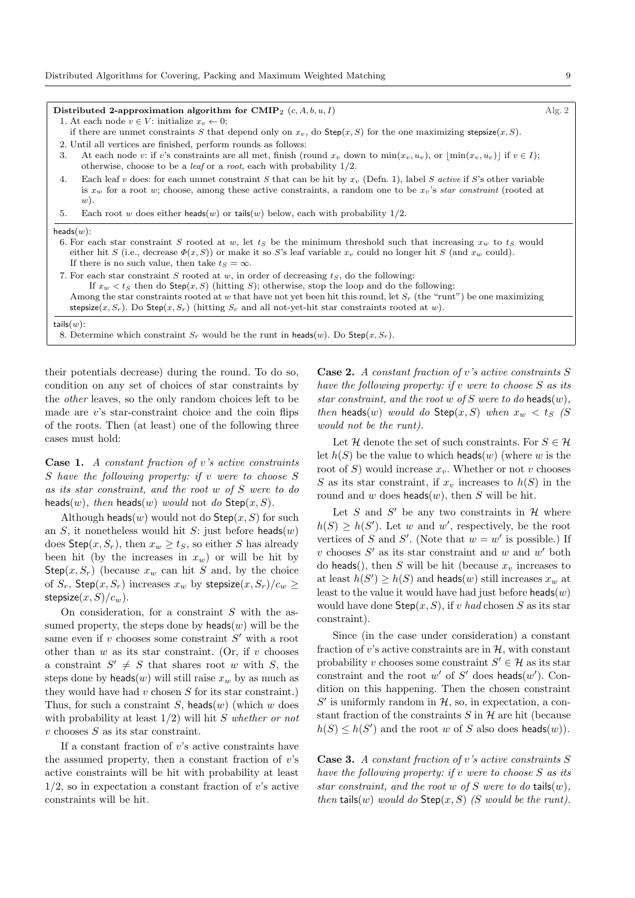- 1. At each node  $v \in V$ : initialize  $x_v \leftarrow 0$ ;
- if there are unmet constraints *S* that depend only on  $x_v$ , do  $\text{Step}(x, S)$  for the one maximizing stepsize $(x, S)$ .
- 2. Until all vertices are finished, perform rounds as follows:
- 3. At each node *v*: if *v*'s constraints are all met, finish (round  $x_v$  down to  $\min(x_v, u_v)$ , or  $|\min(x_v, u_v)|$  if  $v \in I$ ); otherwise, choose to be a *leaf* or a *root*, each with probability 1/2.
- 4. Each leaf *v* does: for each unmet constraint *S* that can be hit by *x<sup>v</sup>* (Defn. 1), label *S active* if *S*'s other variable is *x<sup>w</sup>* for a root *w*; choose, among these active constraints, a random one to be *xv*'s *star constraint* (rooted at *w*).
- 5. Each root *w* does either heads(*w*) or tails(*w*) below, each with probability  $1/2$ .

#### heads(*w*):

- 6. For each star constraint *S* rooted at *w*, let  $t<sub>S</sub>$  be the minimum threshold such that increasing  $x<sub>w</sub>$  to  $t<sub>S</sub>$  would either hit *S* (i.e., decrease  $\Phi(x, S)$ ) or make it so *S*'s leaf variable  $x_v$  could no longer hit *S* (and  $x_w$  could). If there is no such value, then take  $t_S = \infty$ .
- 7. For each star constraint *S* rooted at *w*, in order of decreasing *tS*, do the following:
	- If  $x_w < t_S$  then do Step( $x, S$ ) (hitting *S*); otherwise, stop the loop and do the following:
- Among the star constraints rooted at *w* that have not yet been hit this round, let *S<sup>r</sup>* (the "runt") be one maximizing
- stepsize(*x*, *S*<sub>*r*</sub>). Do Step(*x*, *S*<sub>*r*</sub>) (hitting *S*<sub>*r*</sub> and all not-yet-hit star constraints rooted at *w*).

8. Determine which constraint  $S_r$  would be the runt in heads(*w*). Do Step(*x*,  $S_r$ ).

their potentials decrease) during the round. To do so, condition on any set of choices of star constraints by the *other* leaves, so the only random choices left to be made are *v*'s star-constraint choice and the coin flips of the roots. Then (at least) one of the following three cases must hold:

Case 1. *A constant fraction of v's active constraints S have the following property: if v were to choose S as its star constraint, and the root w of S were to do* heads(*w*)*, then* heads(*w*) *would* not *do* Step(*x, S*).

Although heads $(w)$  would not do  $Step(x, S)$  for such an *S*, it nonetheless would hit *S*: just before heads(*w*) does  $\mathsf{Step}(x, S_r)$ , then  $x_w \geq t_s$ , so either *S* has already been hit (by the increases in  $x_w$ ) or will be hit by Step $(x, S_r)$  (because  $x_w$  can hit *S* and, by the choice of  $S_r$ ,  $Step(x, S_r)$  increases  $x_w$  by stepsize $(x, S_r)/c_w \ge$  $stepsize(x, S)/c_w$ ).

On consideration, for a constraint *S* with the assumed property, the steps done by  $heads(w)$  will be the same even if  $v$  chooses some constraint  $S'$  with a root other than *w* as its star constraint. (Or, if *v* chooses a constraint  $S' \neq S$  that shares root *w* with *S*, the steps done by heads(*w*) will still raise  $x_w$  by as much as they would have had *v* chosen *S* for its star constraint.) Thus, for such a constraint *S*, heads(*w*) (which *w* does with probability at least 1/2) will hit *S whether or not v* chooses *S* as its star constraint.

If a constant fraction of *v*'s active constraints have the assumed property, then a constant fraction of *v*'s active constraints will be hit with probability at least 1/2, so in expectation a constant fraction of *v*'s active constraints will be hit.

Case 2. *A constant fraction of v's active constraints S have the following property: if v were to choose S as its star constraint, and the root w of S were to do* heads(*w*)*, then* heads(*w*) *would do* Step(*x, S*) *when*  $x_w < t_S$  (*S would not be the runt).*

Let *H* denote the set of such constraints. For  $S \in \mathcal{H}$ let  $h(S)$  be the value to which heads(*w*) (where *w* is the root of *S*) would increase *xv*. Whether or not *v* chooses *S* as its star constraint, if  $x<sub>v</sub>$  increases to  $h(S)$  in the round and *w* does heads(*w*), then *S* will be hit.

Let *S* and *S'* be any two constraints in  $H$  where  $h(S) \geq h(S')$ . Let *w* and *w'*, respectively, be the root vertices of *S* and *S'*. (Note that  $w = w'$  is possible.) If  $v$  chooses  $S'$  as its star constraint and  $w$  and  $w'$  both do heads(), then *S* will be hit (because  $x<sub>v</sub>$  increases to at least  $h(S') \ge h(S)$  and heads(*w*) still increases  $x_w$  at least to the value it would have had just before heads(*w*) would have done  $Step(x, S)$ , if *v had* chosen *S* as its star constraint).

Since (in the case under consideration) a constant fraction of *v*'s active constraints are in *H*, with constant probability *v* chooses some constraint  $S' \in \mathcal{H}$  as its star constraint and the root  $w'$  of  $S'$  does heads( $w'$ ). Condition on this happening. Then the chosen constraint  $S'$  is uniformly random in  $H$ , so, in expectation, a constant fraction of the constraints  $S$  in  $H$  are hit (because  $h(S) \leq h(S')$  and the root *w* of *S* also does heads(*w*)).

Case 3. *A constant fraction of v's active constraints S have the following property: if v were to choose S as its star constraint, and the root*  $w$  *of*  $S$  *were to do* tails $(w)$ *, then* tails(*w*) *would do*  $Step(x, S)$  *(S would be the runt).*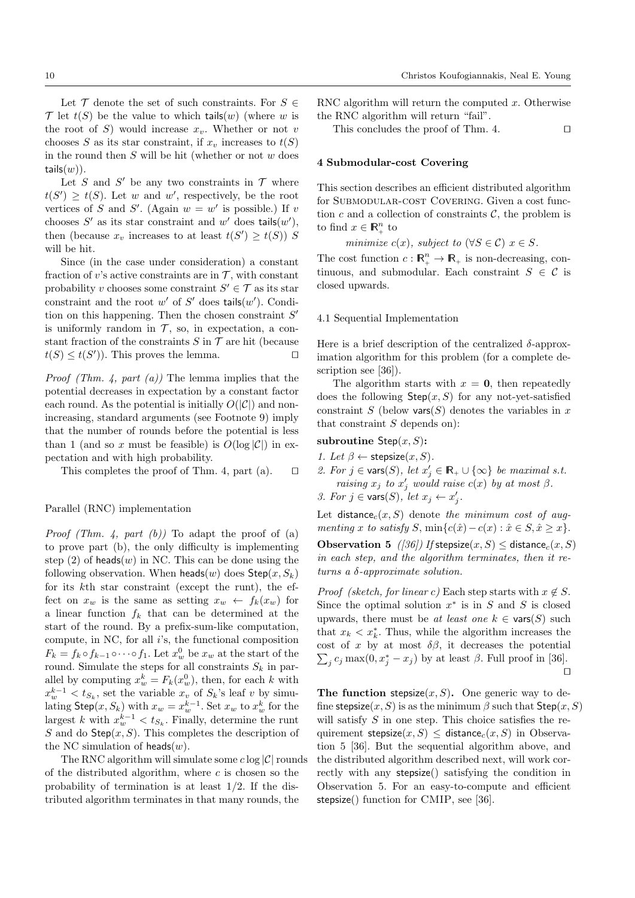Let  $\mathcal T$  denote the set of such constraints. For  $S \in$  $\mathcal T$  let  $t(S)$  be the value to which tails(*w*) (where *w* is the root of *S*) would increase  $x_v$ . Whether or not *v* chooses *S* as its star constraint, if  $x_v$  increases to  $t(S)$ in the round then *S* will be hit (whether or not *w* does tails $(w)$ ).

Let *S* and *S'* be any two constraints in  $\mathcal T$  where  $t(S') \geq t(S)$ . Let *w* and *w'*, respectively, be the root vertices of *S* and *S'*. (Again  $w = w'$  is possible.) If *v* chooses  $S'$  as its star constraint and  $w'$  does tails $(w')$ , then (because  $x_v$  increases to at least  $t(S') \geq t(S)$ ) *S* will be hit.

Since (in the case under consideration) a constant fraction of *v*'s active constraints are in  $\mathcal{T}$ , with constant probability *v* chooses some constraint  $S' \in \mathcal{T}$  as its star constraint and the root  $w'$  of  $S'$  does tails $(w')$ . Condition on this happening. Then the chosen constraint  $S'$ is uniformly random in  $\mathcal{T}$ , so, in expectation, a constant fraction of the constraints *S* in  $\mathcal T$  are hit (because  $t(S) < t(S')$ ). This proves the lemma.  $t(S) \leq t(S')$ ). This proves the lemma.

*Proof (Thm. 4, part (a))* The lemma implies that the potential decreases in expectation by a constant factor each round. As the potential is initially  $O(|\mathcal{C}|)$  and nonincreasing, standard arguments (see Footnote 9) imply that the number of rounds before the potential is less than 1 (and so x must be feasible) is  $O(\log |\mathcal{C}|)$  in expectation and with high probability.

This completes the proof of Thm. 4, part (a).  $\Box$ 

### Parallel (RNC) implementation

*Proof (Thm. 4, part (b))* To adapt the proof of (a) to prove part  $(b)$ , the only difficulty is implementing step  $(2)$  of heads $(w)$  in NC. This can be done using the following observation. When  $\text{heads}(w)$  does  $\text{Step}(x, S_k)$ for its *k*th star constraint (except the runt), the effect on  $x_w$  is the same as setting  $x_w \leftarrow f_k(x_w)$  for a linear function *f<sup>k</sup>* that can be determined at the start of the round. By a prefix-sum-like computation, compute, in NC, for all *i*'s, the functional composition  $F_k = f_k \circ f_{k-1} \circ \cdots \circ f_1$ . Let  $x_w^0$  be  $x_w$  at the start of the round. Simulate the steps for all constraints  $S_k$  in parallel by computing  $x_w^k = F_k(x_w^0)$ , then, for each *k* with  $x_w^{k-1} < t_{S_k}$ , set the variable  $x_v$  of  $S_k$ 's leaf *v* by simulating  $\mathsf{Step}(x, S_k)$  with  $x_w = x_w^{k-1}$ . Set  $x_w$  to  $x_w^k$  for the largest *k* with  $x_w^{k-1} < t_{S_k}$ . Finally, determine the runt *S* and do Step(*x, S*). This completes the description of the NC simulation of heads(*w*).

The RNC algorithm will simulate some *c* log *|C|* rounds of the distributed algorithm, where *c* is chosen so the probability of termination is at least 1/2. If the distributed algorithm terminates in that many rounds, the

RNC algorithm will return the computed *x*. Otherwise the RNC algorithm will return "fail".

This concludes the proof of Thm. 4.  $\Box$ 

#### 4 Submodular-cost Covering

This section describes an efficient distributed algorithm for SUBMODULAR-COST COVERING. Given a cost function  $c$  and a collection of constraints  $\mathcal{C}$ , the problem is to find  $x \in \mathbb{R}_+^n$  to

*minimize*  $c(x)$ *, subject to* ( $\forall S \in \mathcal{C}$ )  $x \in S$ *.* 

The cost function  $c: \mathbb{R}^n_+ \to \mathbb{R}_+$  is non-decreasing, continuous, and submodular. Each constraint  $S \in \mathcal{C}$  is closed upwards.

#### 4.1 Sequential Implementation

Here is a brief description of the centralized  $\delta$ -approximation algorithm for this problem (for a complete description see [36]).

The algorithm starts with  $x = 0$ , then repeatedly does the following  $Step(x, S)$  for any not-yet-satisfied constraint *S* (below vars(*S*) denotes the variables in  $x$ that constraint *S* depends on):

# subroutine Step(*x, S*):

*1. Let*  $\beta \leftarrow$  stepsize $(x, S)$ *.* 2. For  $j \in \text{vars}(S)$ , let  $x'_j \in \mathbb{R}_+ \cup \{\infty\}$  be maximal s.t. *raising*  $x_j$  *to*  $x'_j$  *would raise*  $c(x)$  *by at most*  $\beta$ . *3. For*  $j \in \text{vars}(S)$ , let  $x_j \leftarrow x'_j$ .

Let  $distance_c(x, S)$  denote the minimum cost of aug*menting x to satisfy S*,  $\min\{c(\hat{x}) - c(x) : \hat{x} \in S, \hat{x} \geq x\}.$ 

**Observation 5** ([36]) If stepsize $(x, S) \le$  distance<sub>c</sub> $(x, S)$ *in each step, and the algorithm terminates, then it returns a -approximate solution.*

*Proof* (sketch, for linear c) Each step starts with  $x \notin S$ . Since the optimal solution  $x^*$  is in  $S$  and  $S$  is closed upwards, there must be *at least one*  $k \in \text{vars}(S)$  such that  $x_k < x_k^*$ . Thus, while the algorithm increases the cost of x by at most  $\delta\beta$ , it decreases the potential  $\sum_{j} c_j \max(0, x_j^* - x_j)$  by at least  $\beta$ . Full proof in [36].  $\Box$ 

The function stepsize $(x, S)$ . One generic way to define stepsize $(x, S)$  is as the minimum  $\beta$  such that  $Step(x, S)$ will satisfy *S* in one step. This choice satisfies the requirement stepsize $(x, S)$  < distance<sub>c</sub> $(x, S)$  in Observation 5 [36]. But the sequential algorithm above, and the distributed algorithm described next, will work correctly with any stepsize() satisfying the condition in Observation 5. For an easy-to-compute and efficient stepsize() function for CMIP, see [36].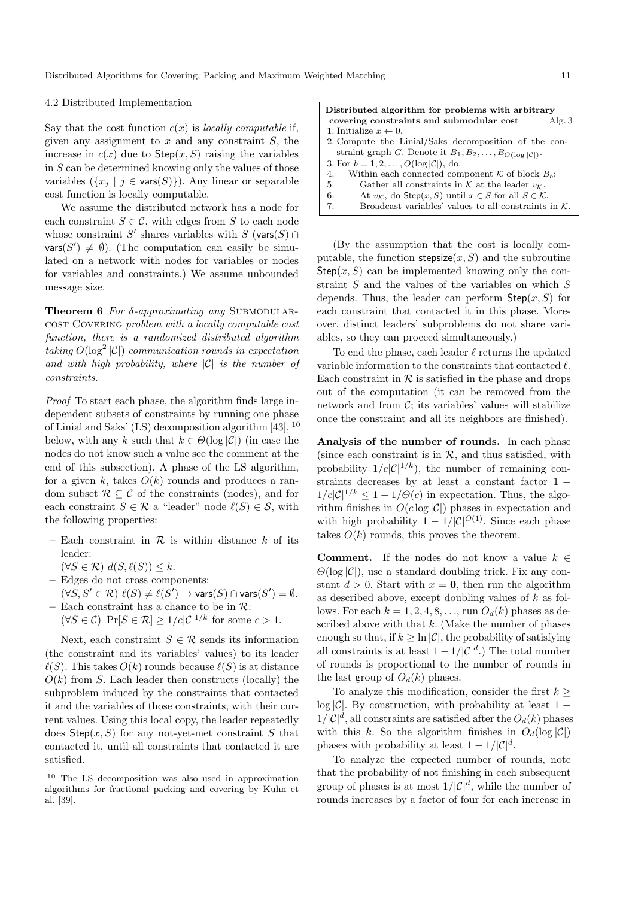#### 4.2 Distributed Implementation

Say that the cost function  $c(x)$  is *locally computable* if, given any assignment to *x* and any constraint *S*, the increase in  $c(x)$  due to  $Step(x, S)$  raising the variables in  $S$  can be determined knowing only the values of those variables  $({x_i | j \in \text{vars}(S)}).$  Any linear or separable cost function is locally computable.

We assume the distributed network has a node for each constraint  $S \in \mathcal{C}$ , with edges from *S* to each node whose constraint *S'* shares variables with *S* (vars(*S*)  $\cap$  $\textsf{vars}(S') \neq \emptyset$ ). (The computation can easily be simulated on a network with nodes for variables or nodes for variables and constraints.) We assume unbounded message size.

**Theorem 6** *For δ*-*approximating any* SUBMODULARcost Covering *problem with a locally computable cost function, there is a randomized distributed algorithm taking*  $O(\log^2 |\mathcal{C}|)$  *communication rounds in expectation and with high probability, where |C| is the number of constraints.*

*Proof* To start each phase, the algorithm finds large independent subsets of constraints by running one phase of Linial and Saks' (LS) decomposition algorithm [43], <sup>10</sup> below, with any *k* such that  $k \in \Theta(\log |\mathcal{C}|)$  (in case the nodes do not know such a value see the comment at the end of this subsection). A phase of the LS algorithm, for a given k, takes  $O(k)$  rounds and produces a random subset  $\mathcal{R} \subset \mathcal{C}$  of the constraints (nodes), and for each constraint  $S \in \mathcal{R}$  a "leader" node  $\ell(S) \in \mathcal{S}$ , with the following properties:

- Each constraint in  $R$  is within distance  $k$  of its leader:
	- $(\forall S \in \mathcal{R}) \ d(S, \ell(S)) \leq k.$
- Edges do not cross components:  $(\forall S, S' \in \mathcal{R}) \ell(S) \neq \ell(S') \rightarrow \mathsf{vars}(S) \cap \mathsf{vars}(S') = \emptyset.$
- Each constraint has a chance to be in *R*:  $(\forall S \in \mathcal{C})$  Pr $[S \in \mathcal{R}] \geq 1/c|\mathcal{C}|^{1/k}$  for some  $c > 1$ .

Next, each constraint  $S \in \mathcal{R}$  sends its information (the constraint and its variables' values) to its leader  $\ell(S)$ . This takes  $O(k)$  rounds because  $\ell(S)$  is at distance  $O(k)$  from *S*. Each leader then constructs (locally) the subproblem induced by the constraints that contacted it and the variables of those constraints, with their current values. Using this local copy, the leader repeatedly does Step(*x, S*) for any not-yet-met constraint *S* that contacted it, until all constraints that contacted it are satisfied.

|                                                                            | Distributed algorithm for problems with arbitrary                               |       |  |  |  |  |
|----------------------------------------------------------------------------|---------------------------------------------------------------------------------|-------|--|--|--|--|
|                                                                            | covering constraints and submodular cost                                        | Alg.3 |  |  |  |  |
|                                                                            | 1. Initialize $x \leftarrow 0$ .                                                |       |  |  |  |  |
|                                                                            | 2. Compute the Linial/Saks decomposition of the con-                            |       |  |  |  |  |
| straint graph G. Denote it $B_1, B_2, \ldots, B_{O(\log  \mathcal{C} )}$ . |                                                                                 |       |  |  |  |  |
|                                                                            | 3. For $b = 1, 2, , O(\log  \mathcal{C} )$ , do:                                |       |  |  |  |  |
|                                                                            | Within each connected component $K$ of block $B_h$ :<br>4.                      |       |  |  |  |  |
|                                                                            | Gather all constraints in $K$ at the leader $v_K$ .<br>5.                       |       |  |  |  |  |
|                                                                            | At $v_K$ , do Step $(x, S)$ until $x \in S$ for all $S \in \mathcal{K}$ .<br>6. |       |  |  |  |  |
|                                                                            | Broadcast variables' values to all constraints in $K$ .<br>7.                   |       |  |  |  |  |
|                                                                            |                                                                                 |       |  |  |  |  |

(By the assumption that the cost is locally computable, the function  $stepsize(x, S)$  and the subroutine  $Step(x, S)$  can be implemented knowing only the constraint *S* and the values of the variables on which *S* depends. Thus, the leader can perform  $Step(x, S)$  for each constraint that contacted it in this phase. Moreover, distinct leaders' subproblems do not share variables, so they can proceed simultaneously.)

To end the phase, each leader  $\ell$  returns the updated variable information to the constraints that contacted  $\ell$ . Each constraint in  $R$  is satisfied in the phase and drops out of the computation (it can be removed from the network and from  $C$ ; its variables' values will stabilize once the constraint and all its neighbors are finished).

Analysis of the number of rounds. In each phase (since each constraint is in  $R$ , and thus satisfied, with probability  $1/c|\mathcal{C}|^{1/k}$ , the number of remaining constraints decreases by at least a constant factor  $1 1/c|\mathcal{C}|^{1/k} \leq 1-1/\Theta(c)$  in expectation. Thus, the algorithm finishes in  $O(c \log |\mathcal{C}|)$  phases in expectation and with high probability  $1 - 1/|\mathcal{C}|^{O(1)}$ . Since each phase takes  $O(k)$  rounds, this proves the theorem.

**Comment.** If the nodes do not know a value  $k \in$  $\Theta(\log |\mathcal{C}|)$ , use a standard doubling trick. Fix any constant  $d > 0$ . Start with  $x = 0$ , then run the algorithm as described above, except doubling values of *k* as follows. For each  $k = 1, 2, 4, 8, \ldots$ , run  $O_d(k)$  phases as described above with that *k*. (Make the number of phases enough so that, if  $k > \ln |\mathcal{C}|$ , the probability of satisfying all constraints is at least  $1 - 1/|\mathcal{C}|^d$ .) The total number of rounds is proportional to the number of rounds in the last group of  $O_d(k)$  phases.

To analyze this modification, consider the first  $k \geq$  $log |\mathcal{C}|$ . By construction, with probability at least 1 –  $1/|\mathcal{C}|^d$ , all constraints are satisfied after the  $O_d(k)$  phases with this *k*. So the algorithm finishes in  $O_d(\log |\mathcal{C}|)$ phases with probability at least  $1 - 1/|\mathcal{C}|^d$ .

To analyze the expected number of rounds, note that the probability of not finishing in each subsequent group of phases is at most  $1/|\mathcal{C}|^d$ , while the number of rounds increases by a factor of four for each increase in

<sup>10</sup> The LS decomposition was also used in approximation algorithms for fractional packing and covering by Kuhn et al. [39].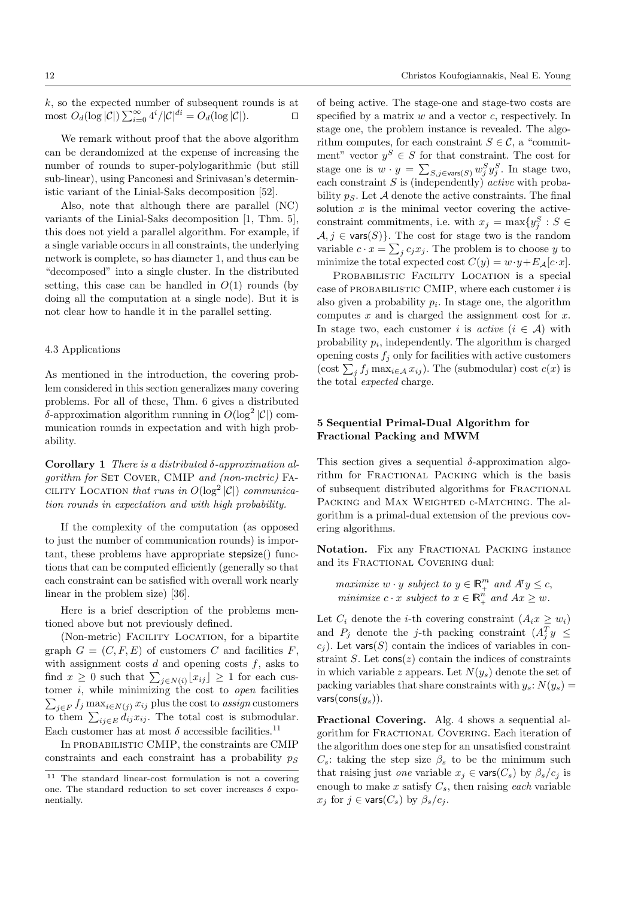*k*, so the expected number of subsequent rounds is at  $\text{most } O_d(\log |\mathcal{C}|) \sum_{i=0}^{\infty} 4^i / |\mathcal{C}|^{di} = O_d(\log |\mathcal{C}|).$ 

We remark without proof that the above algorithm can be derandomized at the expense of increasing the number of rounds to super-polylogarithmic (but still sub-linear), using Panconesi and Srinivasan's deterministic variant of the Linial-Saks decomposition [52].

Also, note that although there are parallel (NC) variants of the Linial-Saks decomposition [1, Thm. 5], this does not yield a parallel algorithm. For example, if a single variable occurs in all constraints, the underlying network is complete, so has diameter 1, and thus can be "decomposed" into a single cluster. In the distributed setting, this case can be handled in  $O(1)$  rounds (by doing all the computation at a single node). But it is not clear how to handle it in the parallel setting.

#### 4.3 Applications

As mentioned in the introduction, the covering problem considered in this section generalizes many covering problems. For all of these, Thm. 6 gives a distributed  $\delta$ -approximation algorithm running in  $O(\log^2 |\mathcal{C}|)$  communication rounds in expectation and with high probability.

Corollary 1 *There is a distributed -approximation algorithm for* SET COVER, CMIP *and (non-metric)* FA-CILITY LOCATION *that runs in*  $O(\log^2 |\mathcal{C}|)$  *communication rounds in expectation and with high probability.*

If the complexity of the computation (as opposed to just the number of communication rounds) is important, these problems have appropriate stepsize() functions that can be computed efficiently (generally so that each constraint can be satisfied with overall work nearly linear in the problem size) [36].

Here is a brief description of the problems mentioned above but not previously defined.

(Non-metric) Facility Location, for a bipartite graph  $G = (C, F, E)$  of customers  $C$  and facilities  $F$ , with assignment costs *d* and opening costs *f*, asks to find  $x \geq 0$  such that  $\sum_{j \in N(i)} |x_{ij}| \geq 1$  for each customer *i*, while minimizing the cost to *open* facilities  $\sum_{j \in F} f_j \max_{i \in N(j)} x_{ij}$  plus the cost to *assign* customers to them  $\sum_{ij \in E} d_{ij} x_{ij}$ . The total cost is submodular. Each customer has at most  $\delta$  accessible facilities.  $^{11}$ 

In probabilistic CMIP, the constraints are CMIP constraints and each constraint has a probability  $p<sub>S</sub>$  of being active. The stage-one and stage-two costs are specified by a matrix *w* and a vector *c*, respectively. In stage one, the problem instance is revealed. The algorithm computes, for each constraint  $S \in \mathcal{C}$ , a "commitment" vector  $y^S \in S$  for that constraint. The cost for stage one is  $w \cdot y = \sum_{S,j \in \text{vars}(S)} w_j^S y_j^S$ . In stage two, each constraint *S* is (independently) *active* with probability  $p<sub>S</sub>$ . Let A denote the active constraints. The final solution  $x$  is the minimal vector covering the activeconstraint commitments, i.e. with  $x_j = \max\{y_j^S : S \in$  $A, j \in \text{vars}(S)$ . The cost for stage two is the random variable  $c \cdot x = \sum_j c_j x_j$ . The problem is to choose *y* to minimize the total expected cost  $C(y) = w \cdot y + E_{\mathcal{A}}[c \cdot x]$ .

PROBABILISTIC FACILITY LOCATION is a special case of probabilistic CMIP, where each customer *i* is also given a probability *pi*. In stage one, the algorithm computes *x* and is charged the assignment cost for *x*. In stage two, each customer *i* is *active*  $(i \in \mathcal{A})$  with probability  $p_i$ , independently. The algorithm is charged opening costs  $f_j$  only for facilities with active customers (cost  $\sum_{j} f_j \max_{i \in A} x_{ij}$ ). The (submodular) cost  $c(x)$  is the total *expected* charge.

## 5 Sequential Primal-Dual Algorithm for Fractional Packing and MWM

This section gives a sequential  $\delta$ -approximation algorithm for FRACTIONAL PACKING which is the basis of subsequent distributed algorithms for Fractional PACKING and MAX WEIGHTED c-MATCHING. The algorithm is a primal-dual extension of the previous covering algorithms.

Notation. Fix any FRACTIONAL PACKING instance and its FRACTIONAL COVERING dual:

*maximize*  $w \cdot y$  *subject to*  $y \in \mathbb{R}^m_+$  *and*  $A^T y \leq c$ , *minimize*  $c \cdot x$  *subject to*  $x \in \mathbb{R}_+^n$  *and*  $Ax \geq w$ *.* 

Let  $C_i$  denote the *i*-th covering constraint  $(A_ix \geq w_i)$ and  $P_j$  denote the *j*-th packing constraint  $(A_j^T y \leq$  $c_j$ ). Let vars(*S*) contain the indices of variables in constraint  $S$ . Let  $\cos(z)$  contain the indices of constraints in which variable *z* appears. Let  $N(y_s)$  denote the set of packing variables that share constraints with  $y_s$ :  $N(y_s)$  = vars(cons(*ys*)).

Fractional Covering. Alg. 4 shows a sequential algorithm for Fractional Covering. Each iteration of the algorithm does one step for an unsatisfied constraint  $C_s$ : taking the step size  $\beta_s$  to be the minimum such that raising just *one* variable  $x_j \in \text{vars}(C_s)$  by  $\beta_s/c_i$  is enough to make  $x$  satisfy  $C_s$ , then raising *each* variable  $x_j$  for  $j \in \text{vars}(C_s)$  by  $\beta_s/c_j$ .

<sup>11</sup> The standard linear-cost formulation is not a covering one. The standard reduction to set cover increases  $\delta$  exponentially.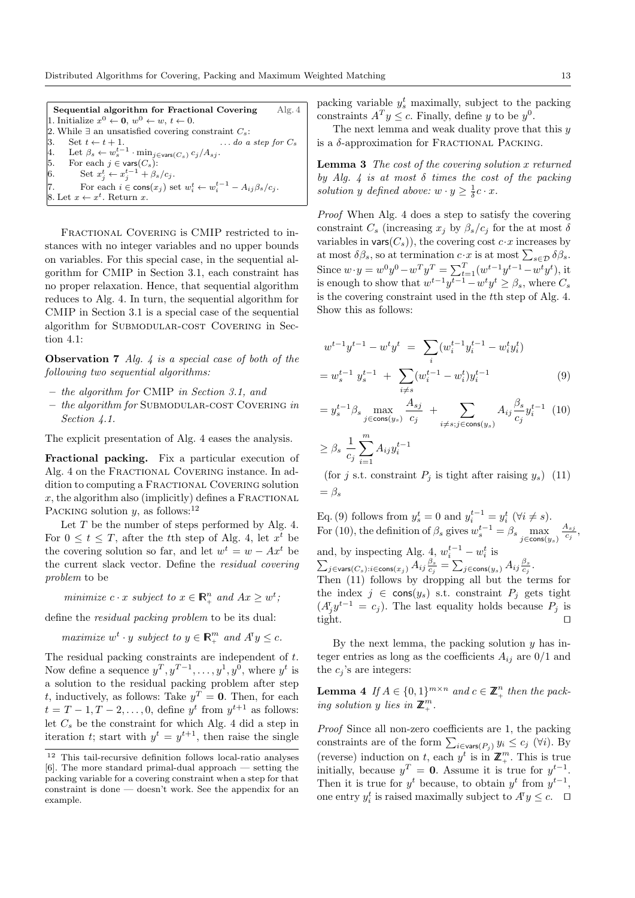Sequential algorithm for Fractional Covering Alg. 4 1. Initialize  $x^0 \leftarrow 0$ ,  $w^0 \leftarrow w$ ,  $t \leftarrow 0$ . 2. While  $\exists$  an unsatisfied covering constraint  $C_s$ :<br>3. Set  $t \leftarrow t + 1$ . ... do a step for  $C_s$ 3. Set  $t \leftarrow t + 1$ .  $\ldots$  *do a step for*  $C_s$ 4. Let  $\beta_s \leftarrow w_s^{t-1} \cdot \min_{j \in \text{vars}(C_s)} c_j / A_{sj}.$ 5. For each  $j \in \text{vars}(C_s)$ :<br>6. Set  $x_j^t \leftarrow x_j^{t-1} + \beta_s/c_j$ . 7. For each  $i \in \text{cons}(x_j)$  set  $w_i^t \leftarrow w_i^{t-1} - A_{ij} \beta_s / c_j$ . 8. Let  $x \leftarrow x^t$ . Return *x*.

FRACTIONAL COVERING is CMIP restricted to instances with no integer variables and no upper bounds on variables. For this special case, in the sequential algorithm for CMIP in Section 3.1, each constraint has no proper relaxation. Hence, that sequential algorithm reduces to Alg. 4. In turn, the sequential algorithm for CMIP in Section 3.1 is a special case of the sequential algorithm for SUBMODULAR-COST COVERING in Section 4.1:

Observation 7 *Alg. 4 is a special case of both of the following two sequential algorithms:*

- *the algorithm for* CMIP *in Section 3.1, and*
- *the algorithm for* Submodular-cost Covering *in Section 4.1.*

The explicit presentation of Alg. 4 eases the analysis.

Fractional packing. Fix a particular execution of Alg. 4 on the Fractional Covering instance. In addition to computing a FRACTIONAL COVERING solution  $x$ , the algorithm also (implicitly) defines a FRACTIONAL PACKING solution *y*, as follows:<sup>12</sup>

Let *T* be the number of steps performed by Alg. 4. For  $0 \le t \le T$ , after the *t*th step of Alg. 4, let  $x^t$  be the covering solution so far, and let  $w^t = w - Ax^t$  be the current slack vector. Define the *residual covering problem* to be

*minimize*  $c \cdot x$  *subject to*  $x \in \mathbb{R}_+^n$  *and*  $Ax \geq w^t$ ;

define the *residual packing problem* to be its dual:

*maximize*  $w^t \cdot y$  *subject to*  $y \in \mathbb{R}^m_+$  *and*  $A^T y \leq c$ *.* 

The residual packing constraints are independent of *t*. Now define a sequence  $y^T, y^{T-1}, \ldots, y^1, y^0$ , where  $y^t$  is a solution to the residual packing problem after step *t*, inductively, as follows: Take  $y^T = 0$ . Then, for each  $t = T - 1, T - 2, \ldots, 0$ , define  $y^t$  from  $y^{t+1}$  as follows: let  $C_s$  be the constraint for which Alg. 4 did a step in iteration *t*; start with  $y^t = y^{t+1}$ , then raise the single

packing variable  $y_s^t$  maximally, subject to the packing constraints  $A^T y \leq c$ . Finally, define *y* to be *y*<sup>0</sup>.

The next lemma and weak duality prove that this *y* is a  $\delta$ -approximation for FRACTIONAL PACKING.

Lemma 3 *The cost of the covering solution x returned by Alg. 4 is at most*  $\delta$  *times the cost of the packing solution y defined above:*  $w \cdot y \ge \frac{1}{\delta}c \cdot x$ .

*Proof* When Alg. 4 does a step to satisfy the covering constraint  $C_s$  (increasing  $x_j$  by  $\beta_s/c_j$  for the at most  $\delta$ variables in  $\text{vars}(C_s)$ , the covering cost  $c \cdot x$  increases by at most  $\delta\beta_s$ , so at termination  $c \cdot x$  is at most  $\sum_{s \in \mathcal{D}} \delta\beta_s$ . Since  $w \cdot y = w^0 y^0 - w^T y^T = \sum_{t=1}^T (w^{t-1} y^{t-1} - w^t y^t)$ , it is enough to show that  $w^{t-1}y^{t-1} - w^t y^t \geq \beta_s$ , where  $C_s$ is the covering constraint used in the *t*th step of Alg. 4. Show this as follows:

$$
w^{t-1}y^{t-1} - w^t y^t = \sum_i (w_i^{t-1}y_i^{t-1} - w_i^t y_i^t)
$$
  
=  $w_s^{t-1} y_s^{t-1} + \sum_{i \neq s} (w_i^{t-1} - w_i^t) y_i^{t-1}$  (9)

$$
= y_s^{t-1} \beta_s \max_{j \in \text{cons}(y_s)} \frac{A_{sj}}{c_j} + \sum_{i \neq s; j \in \text{cons}(y_s)} A_{ij} \frac{\beta_s}{c_j} y_i^{t-1} (10)
$$

$$
\geq \beta_s \frac{1}{c_j} \sum_{i=1}^m A_{ij} y_i^{t-1}
$$

(for *j* s.t. constraint  $P_j$  is tight after raising  $y_s$ ) (11)  $=\beta_s$ 

Eq. (9) follows from  $y_s^t = 0$  and  $y_i^{t-1} = y_i^t$  ( $\forall i \neq s$ ). For (10), the definition of  $\beta_s$  gives  $w_s^{t-1} = \beta_s \max_{j \in \text{cons}(y_s)}$ *Asj*  $\frac{\mathbf{a}_{sj}}{c_j},$ and, by inspecting Alg.  $\underset{\alpha}{4}$ ,  $w_i^{t-1} - w_i^t$  is  $\sum_{j\in\textsf{vars}(C_s):i\in\textsf{cons}(x_j)} A_{ij} \frac{\beta_s}{c_j} = \sum_{j\in\textsf{cons}(y_s)} A_{ij} \frac{\beta_s}{c_j}.$ Then (11) follows by dropping all but the terms for the index  $j \in \text{cons}(y_s)$  s.t. constraint  $P_j$  gets tight

 $(A_j^{\mathsf{T}} y^{t-1} = c_j)$ . The last equality holds because  $P_j$  is tight.  $\square$ 

By the next lemma, the packing solution *y* has integer entries as long as the coefficients  $A_{ij}$  are  $0/1$  and the  $c_j$ 's are integers:

**Lemma 4** If  $A \in \{0, 1\}^{m \times n}$  and  $c \in \mathbb{Z}_+^n$  then the pack $ing$  *solution*  $y$  *lies*  $in \mathbb{Z}_{+}^{m}$ *.* 

*Proof* Since all non-zero coefficients are 1, the packing constraints are of the form  $\sum_{i \in \text{vars}(P_j)} y_i \le c_j$  ( $\forall i$ ). By (reverse) induction on *t*, each  $y^t$  is in  $\mathbb{Z}_+^m$ . This is true initially, because  $y^T = 0$ . Assume it is true for  $y^{t-1}$ . Then it is true for  $y^t$  because, to obtain  $y^t$  from  $y^{t-1}$ , one entry  $y_i^t$  is raised maximally subject to  $A^{\dagger}y \leq c$ .  $\Box$ 

<sup>12</sup> This tail-recursive definition follows local-ratio analyses [6]. The more standard primal-dual approach — setting the packing variable for a covering constraint when a step for that constraint is done — doesn't work. See the appendix for an example.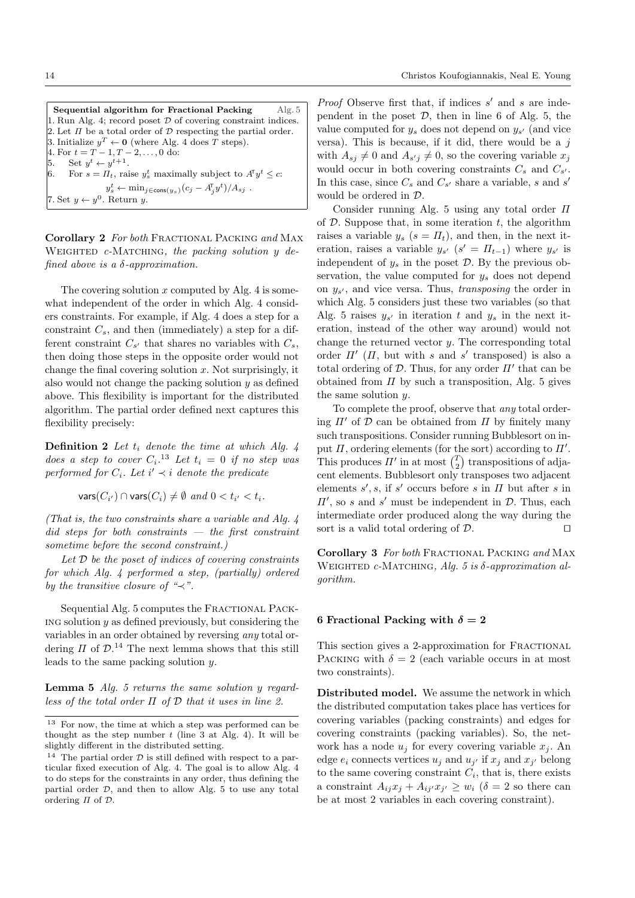Sequential algorithm for Fractional Packing Alg. 5 1. Run Alg. 4; record poset *D* of covering constraint indices. 2. Let  $\Pi$  be a total order of  $D$  respecting the partial order. 3. Initialize  $y^T \leftarrow 0$  (where Alg. 4 does *T* steps). 4. For  $t = T - 1, T - 2, \ldots, 0$  do: 5. Set  $y^t \leftarrow y^{t+1}$ . 6. For  $s = \Pi_t$ , raise  $y_s^t$  maximally subject to  $A^{\mathsf{T}} y^t \leq c$ :  $y_s^t \leftarrow \min_{j \in \text{cons}(y_s)} (c_j - A_j^{\text{T}} y^t) / A_{sj}$ . 7. Set  $y \leftarrow y^0$ . Return *y*.

Corollary 2 *For both* Fractional Packing *and* Max WEIGHTED *c*-MATCHING, the packing solution *y* de*fined above is a*  $\delta$ *-approximation.* 

The covering solution *x* computed by Alg. 4 is somewhat independent of the order in which Alg. 4 considers constraints. For example, if Alg. 4 does a step for a constraint *Cs*, and then (immediately) a step for a different constraint  $C_{s'}$  that shares no variables with  $C_s$ , then doing those steps in the opposite order would not change the final covering solution *x*. Not surprisingly, it also would not change the packing solution *y* as defined above. This flexibility is important for the distributed algorithm. The partial order defined next captures this flexibility precisely:

Definition 2 *Let t<sup>i</sup> denote the time at which Alg. 4 does a step to cover*  $C_i$ .<sup>13</sup> *Let*  $t_i = 0$  *if no step was performed for*  $C_i$ *. Let*  $i' \prec i$  *denote the predicate* 

 $\text{vars}(C_{i'}) \cap \text{vars}(C_i) \neq \emptyset \text{ and } 0 < t_{i'} < t_i.$ 

*(That is, the two constraints share a variable and Alg. 4 did steps for both constraints — the first constraint sometime before the second constraint.)*

*Let D be the poset of indices of covering constraints for which Alg. 4 performed a step, (partially) ordered by the transitive closure of "* $\prec$ *".* 

Sequential Alg. 5 computes the FRACTIONAL PACKing solution *y* as defined previously, but considering the variables in an order obtained by reversing *any* total ordering  $\Pi$  of  $\mathcal{D}$ .<sup>14</sup> The next lemma shows that this still leads to the same packing solution *y*.

Lemma 5 *Alg. 5 returns the same solution y regardless of the total order*  $\Pi$  *of*  $D$  *that it uses in line 2.* 

*Proof* Observe first that, if indices *s'* and *s* are independent in the poset  $D$ , then in line 6 of Alg. 5, the value computed for  $y_s$  does not depend on  $y_{s'}$  (and vice versa). This is because, if it did, there would be a *j* with  $A_{sj} \neq 0$  and  $A_{s'j} \neq 0$ , so the covering variable  $x_j$ would occur in both covering constraints  $C_s$  and  $C_{s'}$ . In this case, since  $C_s$  and  $C_{s'}$  share a variable, *s* and *s'* would be ordered in *D*.

Consider running Alg. 5 using any total order  $\Pi$ of *D*. Suppose that, in some iteration *t*, the algorithm raises a variable  $y_s$  ( $s = \Pi_t$ ), and then, in the next iteration, raises a variable  $y_{s'}$  ( $s' = \Pi_{t-1}$ ) where  $y_{s'}$  is independent of  $y_s$  in the poset  $D$ . By the previous observation, the value computed for *y<sup>s</sup>* does not depend on  $y_{s'}$ , and vice versa. Thus, *transposing* the order in which Alg. 5 considers just these two variables (so that Alg. 5 raises  $y_{s'}$  in iteration t and  $y_s$  in the next iteration, instead of the other way around) would not change the returned vector *y*. The corresponding total order  $\Pi$ <sup>'</sup> ( $\Pi$ , but with *s* and *s*<sup>'</sup> transposed) is also a total ordering of  $D$ . Thus, for any order  $\Pi'$  that can be obtained from  $\Pi$  by such a transposition, Alg. 5 gives the same solution *y*.

To complete the proof, observe that *any* total ordering  $\Pi'$  of  $D$  can be obtained from  $\Pi$  by finitely many such transpositions. Consider running Bubblesort on input  $\Pi$ , ordering elements (for the sort) according to  $\Pi'$ . This produces  $\Pi'$  in at most  $\binom{T}{2}$  transpositions of adjacent elements. Bubblesort only transposes two adjacent elements  $s'$ ,  $s$ , if  $s'$  occurs before  $s$  in  $\Pi$  but after  $s$  in  $\Pi'$ , so *s* and *s'* must be independent in  $\mathcal{D}$ . Thus, each intermediate order produced along the way during the sort is a valid total ordering of  $D$ .

Corollary 3 *For both* Fractional Packing *and* Max WEIGHTED *c*-MATCHING, *Alg. 5 is*  $\delta$ *-approximation algorithm.*

# 6 Fractional Packing with  $\delta = 2$

This section gives a 2-approximation for FRACTIONAL PACKING with  $\delta = 2$  (each variable occurs in at most two constraints).

Distributed model. We assume the network in which the distributed computation takes place has vertices for covering variables (packing constraints) and edges for covering constraints (packing variables). So, the network has a node  $u_j$  for every covering variable  $x_j$ . An edge  $e_i$  connects vertices  $u_j$  and  $u_{j'}$  if  $x_j$  and  $x_{j'}$  belong to the same covering constraint  $C_i$ , that is, there exists a constraint  $A_{ij}x_j + A_{ij'}x_{j'} \geq w_i$  ( $\delta = 2$  so there can be at most 2 variables in each covering constraint).

<sup>13</sup> For now, the time at which a step was performed can be thought as the step number  $t$  (line 3 at Alg. 4). It will be slightly different in the distributed setting.

<sup>&</sup>lt;sup>14</sup> The partial order  $D$  is still defined with respect to a particular fixed execution of Alg. 4. The goal is to allow Alg. 4 to do steps for the constraints in any order, thus defining the partial order *D*, and then to allow Alg. 5 to use any total ordering  $\Pi$  of  $\mathcal D$ .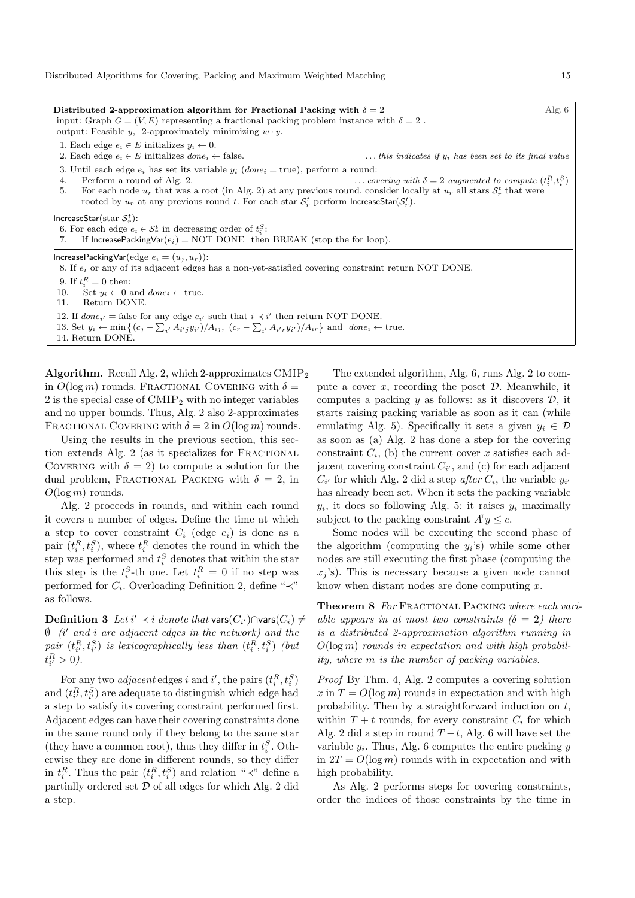Distributed 2-approximation algorithm for Fractional Packing with  $\delta = 2$  Alg. 6 input: Graph  $G = (V, E)$  representing a fractional packing problem instance with  $\delta = 2$ . output: Feasible *y*, 2-approximately minimizing  $w \cdot y$ . 1. Each edge  $e_i \in E$  initializes  $y_i \leftarrow 0$ .<br>2. Each edge  $e_i \in E$  initializes *done*<sub>i</sub>  $\leftarrow$  false.  $\ldots$  *this indicates if*  $y_i$  *has been set to its final value* 3. Until each edge  $e_i$  has set its variable  $y_i$  ( $done_i$  = true), perform a round: 4. Perform a round of Alg. 2. 4. Perform a round of Alg. 2.  $\ldots$  *covering with*  $\delta = 2$  *augmented to compute*  $(t_i^R, t_i^S)$ 5. For each node  $u_r$  that was a root (in Alg. 2) at any previous round, consider locally at  $u_r$  all stars  $S_r^t$  that were rooted by  $u_r$  at any previous round *t*. For each star  $\mathcal{S}_r^t$  perform IncreaseStar( $\mathcal{S}_r^t$ ).  $\textsf{IncreaseStar}(\textsf{star}~\mathcal{S}_r^t)$ : 6. For each edge  $e_i \in S_r^t$  in decreasing order of  $t_i^S$ : 7. If IncreasePackingVar $(e_i)$  = NOT DONE then BREAK (stop the for loop). IncreasePackingVar(edge  $e_i = (u_i, u_r)$ ):

8. If *e<sup>i</sup>* or any of its adjacent edges has a non-yet-satisfied covering constraint return NOT DONE.

9. If  $t_i^R = 0$  then:

10. Set  $y_i \leftarrow 0$  and  $done_i \leftarrow true$ .<br>11. Return DONE.

Return DONE.

12. If  $done_{i'}$  = false for any edge  $e_{i'}$  such that  $i \prec i'$  then return NOT DONE.

13. Set  $y_i \leftarrow \min\left\{ (c_j - \sum_{i'} A_{i'j} y_{i'})/A_{ij}, (c_r - \sum_{i'} A_{i'r} y_{i'})/A_{ir} \right\}$  and  $done_i \leftarrow true$ .

14. Return DONE.

**Algorithm.** Recall Alg. 2, which 2-approximates  $\text{CMIP}_2$ in  $O(\log m)$  rounds. FRACTIONAL COVERING with  $\delta =$ 2 is the special case of CMIP<sup>2</sup> with no integer variables and no upper bounds. Thus, Alg. 2 also 2-approximates FRACTIONAL COVERING with  $\delta = 2$  in  $O(\log m)$  rounds.

Using the results in the previous section, this section extends Alg. 2 (as it specializes for FRACTIONAL COVERING with  $\delta = 2$ ) to compute a solution for the dual problem, FRACTIONAL PACKING with  $\delta = 2$ , in *O*(log *m*) rounds.

Alg. 2 proceeds in rounds, and within each round it covers a number of edges. Define the time at which a step to cover constraint  $C_i$  (edge  $e_i$ ) is done as a pair  $(t_i^R, t_i^S)$ , where  $t_i^R$  denotes the round in which the step was performed and  $t_i^S$  denotes that within the star this step is the  $t_i^S$ -th one. Let  $t_i^R = 0$  if no step was performed for  $C_i$ . Overloading Definition 2, define " $\prec$ " as follows.

**Definition 3** Let  $i' \prec i$  denote that  $\mathsf{vars}(C_{i'}) \cap \mathsf{vars}(C_i) \neq \emptyset$  $\emptyset$  (*i*' and *i* are adjacent edges in the network) and the  $pair (t^R_i, t^S_i)$  *is lexicographically less than*  $(t^R_i, t^S_i)$  *(but*  $t_{i'}^R > 0.$ 

For any two *adjacent* edges *i* and *i*', the pairs  $(t_i^R, t_i^S)$ and  $(t_{i'}^R, t_{i'}^S)$  are adequate to distinguish which edge had a step to satisfy its covering constraint performed first. Adjacent edges can have their covering constraints done in the same round only if they belong to the same star (they have a common root), thus they differ in  $t_i^S$ . Otherwise they are done in different rounds, so they differ in  $t_i^R$ . Thus the pair  $(t_i^R, t_i^S)$  and relation " $\prec$ " define a partially ordered set *D* of all edges for which Alg. 2 did a step.

The extended algorithm, Alg. 6, runs Alg. 2 to compute a cover *x*, recording the poset *D*. Meanwhile, it computes a packing *y* as follows: as it discovers *D*, it starts raising packing variable as soon as it can (while emulating Alg. 5). Specifically it sets a given  $y_i \in \mathcal{D}$ as soon as (a) Alg. 2 has done a step for the covering constraint  $C_i$ , (b) the current cover  $x$  satisfies each adjacent covering constraint  $C_{i}$ , and (c) for each adjacent  $C_{i'}$  for which Alg. 2 did a step *after*  $C_i$ , the variable  $y_{i'}$ has already been set. When it sets the packing variable  $y_i$ , it does so following Alg. 5: it raises  $y_i$  maximally subject to the packing constraint  $A^T y \leq c$ .

Some nodes will be executing the second phase of the algorithm (computing the  $y_i$ 's) while some other nodes are still executing the first phase (computing the  $x_j$ 's). This is necessary because a given node cannot know when distant nodes are done computing *x*.

Theorem 8 *For* Fractional Packing *where each variable appears in at most two constraints (* $\delta = 2$ *) there is a distributed 2-approximation algorithm running in O*(log *m*) *rounds in expectation and with high probability, where m is the number of packing variables.*

*Proof* By Thm. 4, Alg. 2 computes a covering solution  $x$  in  $T = O(\log m)$  rounds in expectation and with high probability. Then by a straightforward induction on *t*, within  $T + t$  rounds, for every constraint  $C_i$  for which Alg. 2 did a step in round  $T-t$ , Alg. 6 will have set the variable *yi*. Thus, Alg. 6 computes the entire packing *y* in  $2T = O(\log m)$  rounds with in expectation and with high probability.

As Alg. 2 performs steps for covering constraints, order the indices of those constraints by the time in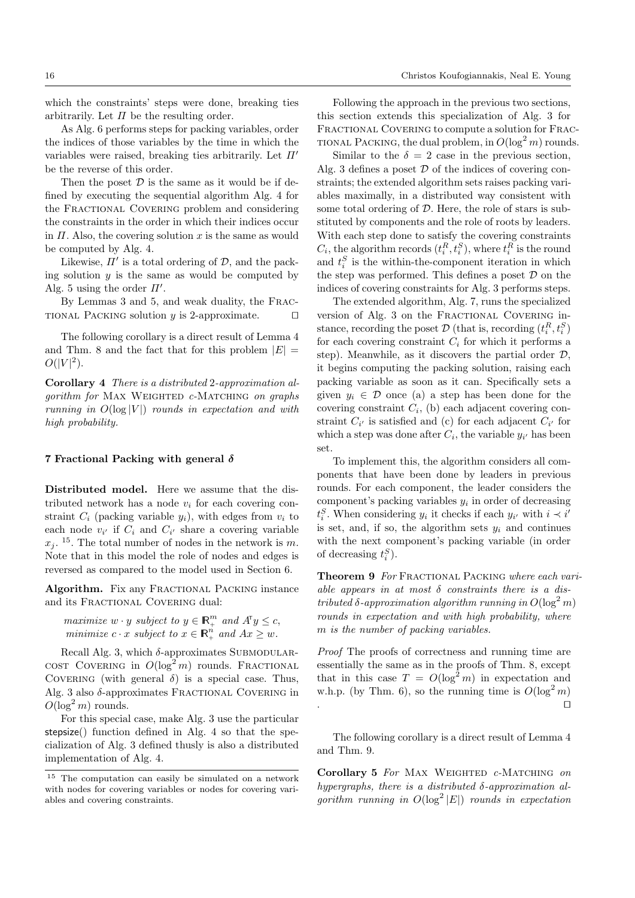which the constraints' steps were done, breaking ties arbitrarily. Let  $\Pi$  be the resulting order.

As Alg. 6 performs steps for packing variables, order the indices of those variables by the time in which the variables were raised, breaking ties arbitrarily. Let  $\Pi'$ be the reverse of this order.

Then the poset  $D$  is the same as it would be if defined by executing the sequential algorithm Alg. 4 for the Fractional Covering problem and considering the constraints in the order in which their indices occur in  $\Pi$ . Also, the covering solution  $x$  is the same as would be computed by Alg. 4.

Likewise,  $\Pi'$  is a total ordering of  $D$ , and the packing solution *y* is the same as would be computed by Alg. 5 using the order  $\Pi'$ .

By Lemmas 3 and 5, and weak duality, the Frac-TIONAL PACKING solution  $y$  is 2-approximate.  $\Box$ 

The following corollary is a direct result of Lemma 4 and Thm. 8 and the fact that for this problem  $|E|$  =  $O(|V|^2)$ .

Corollary 4 *There is a distributed* 2*-approximation algorithm for* MAX WEIGHTED *c*-MATCHING *on graphs running in O*(log *|V |*) *rounds in expectation and with high probability.*

#### 7 Fractional Packing with general  $\delta$

Distributed model. Here we assume that the distributed network has a node  $v_i$  for each covering constraint  $C_i$  (packing variable  $y_i$ ), with edges from  $v_i$  to each node  $v_{i'}$  if  $C_i$  and  $C_{i'}$  share a covering variable  $x_i$ . <sup>15</sup>. The total number of nodes in the network is *m*. Note that in this model the role of nodes and edges is reversed as compared to the model used in Section 6.

Algorithm. Fix any FRACTIONAL PACKING instance and its FRACTIONAL COVERING dual:

*maximize*  $w \cdot y$  *subject to*  $y \in \mathbb{R}^m_+$  *and*  $A^{\mathsf{T}} y \leq c$ , *minimize*  $c \cdot x$  *subject to*  $x \in \mathbb{R}_+^n$  *and*  $Ax \geq w$ *.* 

Recall Alg. 3, which  $\delta$ -approximates SUBMODULARcost Covering in  $O(\log^2 m)$  rounds. Fractional COVERING (with general  $\delta$ ) is a special case. Thus, Alg. 3 also  $\delta$ -approximates FRACTIONAL COVERING in  $O(\log^2 m)$  rounds.

For this special case, make Alg. 3 use the particular stepsize() function defined in Alg. 4 so that the specialization of Alg. 3 defined thusly is also a distributed implementation of Alg. 4.

Following the approach in the previous two sections, this section extends this specialization of Alg. 3 for FRACTIONAL COVERING to compute a solution for FRAC-TIONAL PACKING, the dual problem, in  $O(\log^2 m)$  rounds.

Similar to the  $\delta = 2$  case in the previous section, Alg. 3 defines a poset *D* of the indices of covering constraints; the extended algorithm sets raises packing variables maximally, in a distributed way consistent with some total ordering of *D*. Here, the role of stars is substituted by components and the role of roots by leaders. With each step done to satisfy the covering constraints  $C_i$ , the algorithm records  $(t_i^R, t_i^S)$ , where  $t_i^R$  is the round and  $t_i^S$  is the within-the-component iteration in which the step was performed. This defines a poset *D* on the indices of covering constraints for Alg. 3 performs steps.

The extended algorithm, Alg. 7, runs the specialized version of Alg. 3 on the FRACTIONAL COVERING instance, recording the poset  $D$  (that is, recording  $(t_i^R, t_i^S)$ ) for each covering constraint  $C_i$  for which it performs a step). Meanwhile, as it discovers the partial order *D*, it begins computing the packing solution, raising each packing variable as soon as it can. Specifically sets a given  $y_i \in \mathcal{D}$  once (a) a step has been done for the covering constraint  $C_i$ , (b) each adjacent covering constraint  $C_{i'}$  is satisfied and (c) for each adjacent  $C_{i'}$  for which a step was done after  $C_i$ , the variable  $y_i$ <sup>*i*</sup> has been set.

To implement this, the algorithm considers all components that have been done by leaders in previous rounds. For each component, the leader considers the component's packing variables  $y_i$  in order of decreasing  $t_i^S$ . When considering *y<sub>i</sub>* it checks if each *y<sub>i</sub>* with  $i \prec i'$ is set, and, if so, the algorithm sets  $y_i$  and continues with the next component's packing variable (in order of decreasing  $t_i^S$ ).

Theorem 9 *For* Fractional Packing *where each vari*able appears in at most  $\delta$  constraints there is a dis*tributed*  $\delta$ -approximation algorithm running in  $O(\log^2 m)$ *rounds in expectation and with high probability, where m is the number of packing variables.*

*Proof* The proofs of correctness and running time are essentially the same as in the proofs of Thm. 8, except that in this case  $T = O(\log^2 m)$  in expectation and w.h.p. (by Thm. 6), so the running time is  $O(\log^2 m)$ . The contract of the contract of the contract of the contract of the contract of the contract of the contract<br>The contract of the contract of the contract of the contract of the contract of the contract of the contract o

The following corollary is a direct result of Lemma 4 and Thm. 9.

Corollary 5 *For* Max Weighted *c-*Matching *on*  $hypergraphs, there is a distributed  $\delta$ -approximation al$ *gorithm running in*  $O(\log^2 |E|)$  *rounds in expectation* 

<sup>15</sup> The computation can easily be simulated on a network with nodes for covering variables or nodes for covering variables and covering constraints.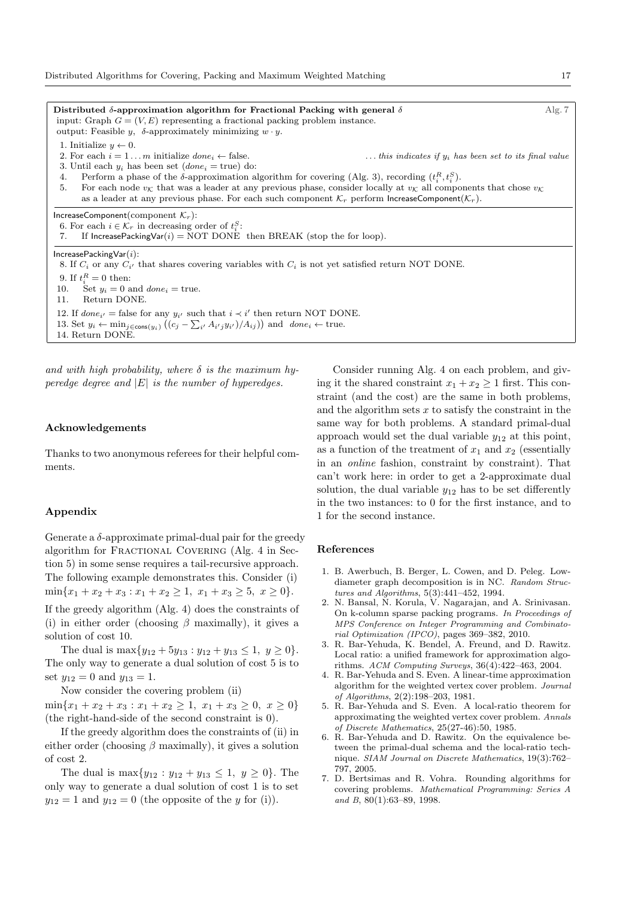Distributed  $\delta$ -approximation algorithm for Fractional Packing with general  $\delta$  Alg. 7 input: Graph  $G = (V, E)$  representing a fractional packing problem instance. output: Feasible *y*,  $\delta$ -approximately minimizing *w · y*. 1. Initialize  $y \leftarrow 0$ .<br>2. For each  $i = 1 ... m$  initialize *done*<sub>i</sub>  $\leftarrow$  false.  $\ldots$  *this indicates if*  $y_i$  *has been set to its final value* 3. Until each  $y_i$  has been set  $(done_i = true)$  do: 4. Perform a phase of the  $\delta$ -approximation algorithm for covering (Alg. 3), recording  $(t_i^R, t_i^S)$ . 5. For each node  $v_K$  that was a leader at any previous phase, consider locally at  $v_K$  all components that chose  $v_K$ as a leader at any previous phase. For each such component  $\mathcal{K}_r$  perform IncreaseComponent $(\mathcal{K}_r)$ . IncreaseComponent(component *Kr*): 6. For each  $i \in \mathcal{K}_r$  in decreasing order of  $t_i^S$ : 7. If IncreasePackingVar( $i$ ) = NOT DONE then BREAK (stop the for loop). IncreasePackingVar(*i*): 8. If  $C_i$  or any  $C_{i'}$  that shares covering variables with  $C_i$  is not yet satisfied return NOT DONE. 9. If  $t_i^R = 0$  then: 10. Set  $y_i = 0$  and  $done_i = true$ .<br>11. Return DONE. Return DONE. 12. If  $done_{i'} = false$  for any  $y_{i'}$  such that  $i \prec i'$  then return NOT DONE. 13. Set  $y_i \leftarrow \min_{j \in \text{cons}(y_i)} ((c_j - \sum_{i'} A_{i'j} y_{i'})/A_{ij}))$  and  $done_i \leftarrow true$ .

and with high probability, where  $\delta$  is the maximum hy*peredge degree and |E| is the number of hyperedges.*

#### Acknowledgements

14. Return DONE.

Thanks to two anonymous referees for their helpful comments.

# Appendix

Generate a  $\delta$ -approximate primal-dual pair for the greedy algorithm for FRACTIONAL COVERING (Alg. 4 in Section 5) in some sense requires a tail-recursive approach. The following example demonstrates this. Consider (i)  $\min\{x_1 + x_2 + x_3 : x_1 + x_2 \geq 1, x_1 + x_3 \geq 5, x \geq 0\}.$ 

If the greedy algorithm (Alg. 4) does the constraints of (i) in either order (choosing  $\beta$  maximally), it gives a solution of cost 10.

The dual is  $\max\{y_{12} + 5y_{13} : y_{12} + y_{13} \leq 1, y \geq 0\}.$ The only way to generate a dual solution of cost 5 is to set  $y_{12} = 0$  and  $y_{13} = 1$ .

Now consider the covering problem (ii)

 $\min\{x_1 + x_2 + x_3 : x_1 + x_2 \geq 1, x_1 + x_3 \geq 0, x \geq 0\}$ (the right-hand-side of the second constraint is 0).

If the greedy algorithm does the constraints of (ii) in either order (choosing  $\beta$  maximally), it gives a solution of cost 2.

The dual is  $\max\{y_{12} : y_{12} + y_{13} \leq 1, y \geq 0\}$ . The only way to generate a dual solution of cost 1 is to set  $y_{12} = 1$  and  $y_{12} = 0$  (the opposite of the *y* for (i)).

Consider running Alg. 4 on each problem, and giving it the shared constraint  $x_1 + x_2 \geq 1$  first. This constraint (and the cost) are the same in both problems, and the algorithm sets *x* to satisfy the constraint in the same way for both problems. A standard primal-dual approach would set the dual variable *y*<sup>12</sup> at this point, as a function of the treatment of  $x_1$  and  $x_2$  (essentially in an *online* fashion, constraint by constraint). That can't work here: in order to get a 2-approximate dual solution, the dual variable  $y_{12}$  has to be set differently in the two instances: to 0 for the first instance, and to 1 for the second instance.

#### References

- 1. B. Awerbuch, B. Berger, L. Cowen, and D. Peleg. Lowdiameter graph decomposition is in NC. *Random Structures and Algorithms*, 5(3):441–452, 1994.
- 2. N. Bansal, N. Korula, V. Nagarajan, and A. Srinivasan. On k-column sparse packing programs. *In Proceedings of MPS Conference on Integer Programming and Combinatorial Optimization (IPCO)*, pages 369–382, 2010.
- 3. R. Bar-Yehuda, K. Bendel, A. Freund, and D. Rawitz. Local ratio: a unified framework for approximation algorithms. *ACM Computing Surveys*, 36(4):422–463, 2004.
- 4. R. Bar-Yehuda and S. Even. A linear-time approximation algorithm for the weighted vertex cover problem. *Journal of Algorithms*, 2(2):198–203, 1981.
- 5. R. Bar-Yehuda and S. Even. A local-ratio theorem for approximating the weighted vertex cover problem. *Annals of Discrete Mathematics*, 25(27-46):50, 1985.
- 6. R. Bar-Yehuda and D. Rawitz. On the equivalence between the primal-dual schema and the local-ratio technique. *SIAM Journal on Discrete Mathematics*, 19(3):762– 797, 2005.
- 7. D. Bertsimas and R. Vohra. Rounding algorithms for covering problems. *Mathematical Programming: Series A and B*, 80(1):63–89, 1998.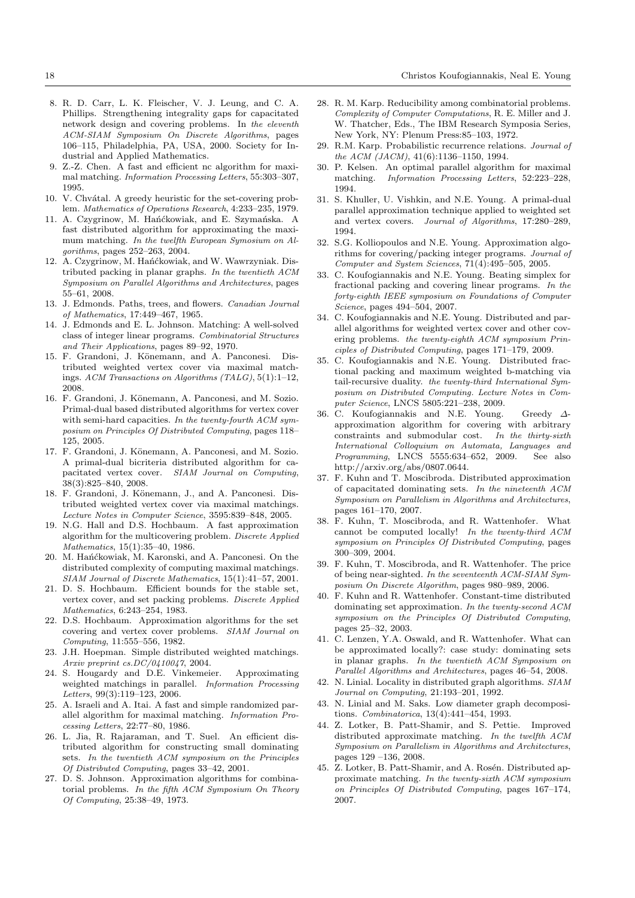- 8. R. D. Carr, L. K. Fleischer, V. J. Leung, and C. A. Phillips. Strengthening integrality gaps for capacitated network design and covering problems. In *the eleventh ACM-SIAM Symposium On Discrete Algorithms*, pages 106–115, Philadelphia, PA, USA, 2000. Society for Industrial and Applied Mathematics.
- 9. Z.-Z. Chen. A fast and efficient nc algorithm for maximal matching. *Information Processing Letters*, 55:303–307, 1995.
- 10. V. Chvátal. A greedy heuristic for the set-covering problem. *Mathematics of Operations Research*, 4:233–235, 1979.
- 11. A. Czygrinow, M. Hańćkowiak, and E. Szymańska. A fast distributed algorithm for approximating the maximum matching. *In the twelfth European Symosium on Algorithms*, pages 252–263, 2004.
- 12. A. Czygrinow, M. Hańćkowiak, and W. Wawrzyniak. Distributed packing in planar graphs. *In the twentieth ACM Symposium on Parallel Algorithms and Architectures*, pages 55–61, 2008.
- 13. J. Edmonds. Paths, trees, and flowers. *Canadian Journal of Mathematics*, 17:449–467, 1965.
- 14. J. Edmonds and E. L. Johnson. Matching: A well-solved class of integer linear programs. *Combinatorial Structures and Their Applications*, pages 89–92, 1970.
- 15. F. Grandoni, J. Könemann, and A. Panconesi. Distributed weighted vertex cover via maximal matchings. *ACM Transactions on Algorithms (TALG)*, 5(1):1–12, 2008.
- 16. F. Grandoni, J. Könemann, A. Panconesi, and M. Sozio. Primal-dual based distributed algorithms for vertex cover with semi-hard capacities. *In the twenty-fourth ACM symposium on Principles Of Distributed Computing*, pages 118– 125, 2005.
- 17. F. Grandoni, J. Könemann, A. Panconesi, and M. Sozio. A primal-dual bicriteria distributed algorithm for capacitated vertex cover. *SIAM Journal on Computing*, 38(3):825–840, 2008.
- 18. F. Grandoni, J. Könemann, J., and A. Panconesi. Distributed weighted vertex cover via maximal matchings. *Lecture Notes in Computer Science*, 3595:839–848, 2005.
- 19. N.G. Hall and D.S. Hochbaum. A fast approximation algorithm for the multicovering problem. *Discrete Applied Mathematics*, 15(1):35–40, 1986.
- 20. M. Hańćkowiak, M. Karonski, and A. Panconesi. On the distributed complexity of computing maximal matchings. *SIAM Journal of Discrete Mathematics*, 15(1):41–57, 2001.
- 21. D. S. Hochbaum. Efficient bounds for the stable set, vertex cover, and set packing problems. *Discrete Applied Mathematics*, 6:243–254, 1983.
- 22. D.S. Hochbaum. Approximation algorithms for the set covering and vertex cover problems. *SIAM Journal on Computing*, 11:555–556, 1982.
- 23. J.H. Hoepman. Simple distributed weighted matchings. *Arxiv preprint cs.DC/0410047*, 2004.
- 24. S. Hougardy and D.E. Vinkemeier. Approximating weighted matchings in parallel. *Information Processing Letters*, 99(3):119–123, 2006.
- 25. A. Israeli and A. Itai. A fast and simple randomized parallel algorithm for maximal matching. *Information Processing Letters*, 22:77–80, 1986.
- 26. L. Jia, R. Rajaraman, and T. Suel. An efficient distributed algorithm for constructing small dominating sets. *In the twentieth ACM symposium on the Principles Of Distributed Computing*, pages 33–42, 2001.
- 27. D. S. Johnson. Approximation algorithms for combinatorial problems. *In the fifth ACM Symposium On Theory Of Computing*, 25:38–49, 1973.
- 28. R. M. Karp. Reducibility among combinatorial problems. *Complexity of Computer Computations*, R. E. Miller and J. W. Thatcher, Eds., The IBM Research Symposia Series, New York, NY: Plenum Press:85–103, 1972.
- 29. R.M. Karp. Probabilistic recurrence relations. *Journal of the ACM (JACM)*, 41(6):1136–1150, 1994.
- 30. P. Kelsen. An optimal parallel algorithm for maximal matching. *Information Processing Letters*, 52:223–228, 1994.
- 31. S. Khuller, U. Vishkin, and N.E. Young. A primal-dual parallel approximation technique applied to weighted set and vertex covers. *Journal of Algorithms*, 17:280–289, 1994.
- 32. S.G. Kolliopoulos and N.E. Young. Approximation algorithms for covering/packing integer programs. *Journal of Computer and System Sciences*, 71(4):495–505, 2005.
- 33. C. Koufogiannakis and N.E. Young. Beating simplex for fractional packing and covering linear programs. *In the forty-eighth IEEE symposium on Foundations of Computer Science*, pages 494–504, 2007.
- 34. C. Koufogiannakis and N.E. Young. Distributed and parallel algorithms for weighted vertex cover and other covering problems. *the twenty-eighth ACM symposium Principles of Distributed Computing*, pages 171–179, 2009.
- 35. C. Koufogiannakis and N.E. Young. Distributed fractional packing and maximum weighted b-matching via tail-recursive duality. *the twenty-third International Symposium on Distributed Computing. Lecture Notes in Computer Science*, LNCS 5805:221–238, 2009.
- 36. C. Koufogiannakis and N.E. Young. Greedy  $\Delta$ approximation algorithm for covering with arbitrary constraints and submodular cost. *In the thirty-sixth International Colloquium on Automata, Languages and Programming*, LNCS 5555:634–652, 2009. See also http://arxiv.org/abs/0807.0644.
- 37. F. Kuhn and T. Moscibroda. Distributed approximation of capacitated dominating sets. *In the nineteenth ACM Symposium on Parallelism in Algorithms and Architectures*, pages 161–170, 2007.
- 38. F. Kuhn, T. Moscibroda, and R. Wattenhofer. What cannot be computed locally! *In the twenty-third ACM symposium on Principles Of Distributed Computing*, pages 300–309, 2004.
- 39. F. Kuhn, T. Moscibroda, and R. Wattenhofer. The price of being near-sighted. *In the seventeenth ACM-SIAM Symposium On Discrete Algorithm*, pages 980–989, 2006.
- 40. F. Kuhn and R. Wattenhofer. Constant-time distributed dominating set approximation. *In the twenty-second ACM symposium on the Principles Of Distributed Computing*, pages 25–32, 2003.
- 41. C. Lenzen, Y.A. Oswald, and R. Wattenhofer. What can be approximated locally?: case study: dominating sets in planar graphs. *In the twentieth ACM Symposium on Parallel Algorithms and Architectures*, pages 46–54, 2008.
- 42. N. Linial. Locality in distributed graph algorithms. *SIAM Journal on Computing*, 21:193–201, 1992.
- 43. N. Linial and M. Saks. Low diameter graph decompositions. *Combinatorica*, 13(4):441–454, 1993.
- 44. Z. Lotker, B. Patt-Shamir, and S. Pettie. Improved distributed approximate matching. *In the twelfth ACM Symposium on Parallelism in Algorithms and Architectures*, pages 129 –136, 2008.
- 45. Z. Lotker, B. Patt-Shamir, and A. Rosén. Distributed approximate matching. *In the twenty-sixth ACM symposium on Principles Of Distributed Computing*, pages 167–174, 2007.